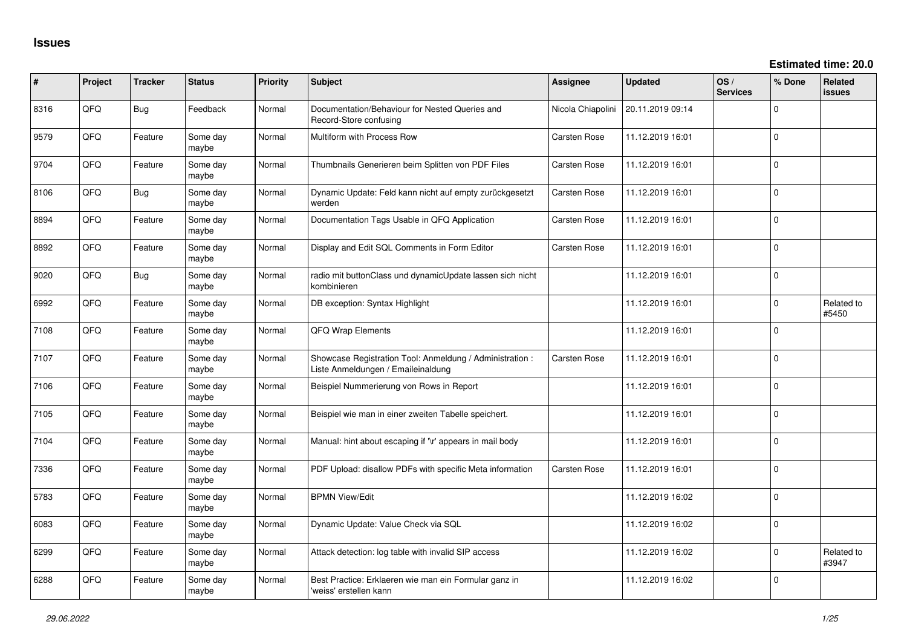| ∦    | Project | <b>Tracker</b> | <b>Status</b>     | Priority | <b>Subject</b>                                                                                 | Assignee            | <b>Updated</b>   | OS/<br><b>Services</b> | % Done      | Related<br><b>issues</b> |
|------|---------|----------------|-------------------|----------|------------------------------------------------------------------------------------------------|---------------------|------------------|------------------------|-------------|--------------------------|
| 8316 | QFQ     | <b>Bug</b>     | Feedback          | Normal   | Documentation/Behaviour for Nested Queries and<br>Record-Store confusing                       | Nicola Chiapolini   | 20.11.2019 09:14 |                        | 0           |                          |
| 9579 | QFQ     | Feature        | Some day<br>maybe | Normal   | Multiform with Process Row                                                                     | Carsten Rose        | 11.12.2019 16:01 |                        | 0           |                          |
| 9704 | QFQ     | Feature        | Some day<br>maybe | Normal   | Thumbnails Generieren beim Splitten von PDF Files                                              | Carsten Rose        | 11.12.2019 16:01 |                        | 0           |                          |
| 8106 | QFQ     | <b>Bug</b>     | Some day<br>maybe | Normal   | Dynamic Update: Feld kann nicht auf empty zurückgesetzt<br>werden                              | <b>Carsten Rose</b> | 11.12.2019 16:01 |                        | 0           |                          |
| 8894 | QFQ     | Feature        | Some day<br>maybe | Normal   | Documentation Tags Usable in QFQ Application                                                   | Carsten Rose        | 11.12.2019 16:01 |                        | 0           |                          |
| 8892 | QFQ     | Feature        | Some day<br>maybe | Normal   | Display and Edit SQL Comments in Form Editor                                                   | Carsten Rose        | 11.12.2019 16:01 |                        | $\mathbf 0$ |                          |
| 9020 | QFQ     | Bug            | Some day<br>maybe | Normal   | radio mit buttonClass und dynamicUpdate lassen sich nicht<br>kombinieren                       |                     | 11.12.2019 16:01 |                        | 0           |                          |
| 6992 | QFQ     | Feature        | Some day<br>maybe | Normal   | DB exception: Syntax Highlight                                                                 |                     | 11.12.2019 16:01 |                        | $\mathbf 0$ | Related to<br>#5450      |
| 7108 | QFQ     | Feature        | Some day<br>maybe | Normal   | QFQ Wrap Elements                                                                              |                     | 11.12.2019 16:01 |                        | 0           |                          |
| 7107 | QFQ     | Feature        | Some day<br>maybe | Normal   | Showcase Registration Tool: Anmeldung / Administration :<br>Liste Anmeldungen / Emaileinaldung | Carsten Rose        | 11.12.2019 16:01 |                        | 0           |                          |
| 7106 | QFQ     | Feature        | Some day<br>maybe | Normal   | Beispiel Nummerierung von Rows in Report                                                       |                     | 11.12.2019 16:01 |                        | 0           |                          |
| 7105 | QFQ     | Feature        | Some day<br>maybe | Normal   | Beispiel wie man in einer zweiten Tabelle speichert.                                           |                     | 11.12.2019 16:01 |                        | 0           |                          |
| 7104 | QFQ     | Feature        | Some day<br>maybe | Normal   | Manual: hint about escaping if '\r' appears in mail body                                       |                     | 11.12.2019 16:01 |                        | 0           |                          |
| 7336 | QFQ     | Feature        | Some day<br>maybe | Normal   | PDF Upload: disallow PDFs with specific Meta information                                       | Carsten Rose        | 11.12.2019 16:01 |                        | 0           |                          |
| 5783 | QFQ     | Feature        | Some day<br>maybe | Normal   | <b>BPMN View/Edit</b>                                                                          |                     | 11.12.2019 16:02 |                        | $\mathbf 0$ |                          |
| 6083 | QFQ     | Feature        | Some day<br>maybe | Normal   | Dynamic Update: Value Check via SQL                                                            |                     | 11.12.2019 16:02 |                        | 0           |                          |
| 6299 | QFQ     | Feature        | Some day<br>maybe | Normal   | Attack detection: log table with invalid SIP access                                            |                     | 11.12.2019 16:02 |                        | 0           | Related to<br>#3947      |
| 6288 | QFQ     | Feature        | Some day<br>maybe | Normal   | Best Practice: Erklaeren wie man ein Formular ganz in<br>'weiss' erstellen kann                |                     | 11.12.2019 16:02 |                        | $\Omega$    |                          |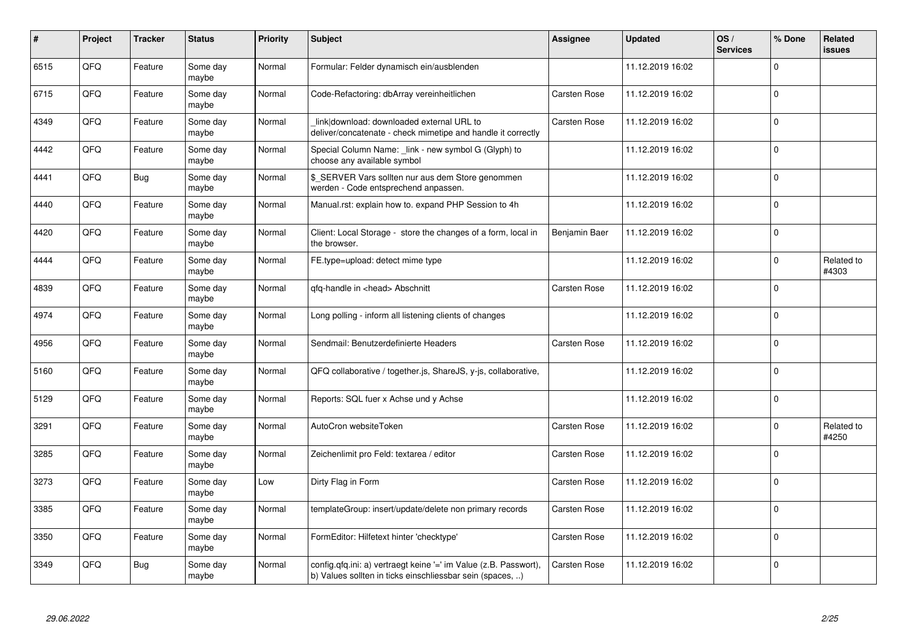| #    | Project | <b>Tracker</b> | <b>Status</b>     | <b>Priority</b> | <b>Subject</b>                                                                                                                | <b>Assignee</b>     | <b>Updated</b>   | OS/<br><b>Services</b> | % Done      | Related<br>issues   |
|------|---------|----------------|-------------------|-----------------|-------------------------------------------------------------------------------------------------------------------------------|---------------------|------------------|------------------------|-------------|---------------------|
| 6515 | QFQ     | Feature        | Some day<br>maybe | Normal          | Formular: Felder dynamisch ein/ausblenden                                                                                     |                     | 11.12.2019 16:02 |                        | $\Omega$    |                     |
| 6715 | QFQ     | Feature        | Some day<br>maybe | Normal          | Code-Refactoring: dbArray vereinheitlichen                                                                                    | Carsten Rose        | 11.12.2019 16:02 |                        | $\mathbf 0$ |                     |
| 4349 | QFQ     | Feature        | Some day<br>maybe | Normal          | link download: downloaded external URL to<br>deliver/concatenate - check mimetipe and handle it correctly                     | <b>Carsten Rose</b> | 11.12.2019 16:02 |                        | $\mathbf 0$ |                     |
| 4442 | QFQ     | Feature        | Some day<br>maybe | Normal          | Special Column Name: _link - new symbol G (Glyph) to<br>choose any available symbol                                           |                     | 11.12.2019 16:02 |                        | $\Omega$    |                     |
| 4441 | QFQ     | <b>Bug</b>     | Some day<br>maybe | Normal          | \$_SERVER Vars sollten nur aus dem Store genommen<br>werden - Code entsprechend anpassen.                                     |                     | 11.12.2019 16:02 |                        | $\Omega$    |                     |
| 4440 | QFQ     | Feature        | Some day<br>maybe | Normal          | Manual.rst: explain how to. expand PHP Session to 4h                                                                          |                     | 11.12.2019 16:02 |                        | $\mathbf 0$ |                     |
| 4420 | QFQ     | Feature        | Some day<br>maybe | Normal          | Client: Local Storage - store the changes of a form, local in<br>the browser.                                                 | Benjamin Baer       | 11.12.2019 16:02 |                        | $\Omega$    |                     |
| 4444 | QFQ     | Feature        | Some day<br>maybe | Normal          | FE.type=upload: detect mime type                                                                                              |                     | 11.12.2019 16:02 |                        | $\Omega$    | Related to<br>#4303 |
| 4839 | QFQ     | Feature        | Some day<br>maybe | Normal          | qfq-handle in <head> Abschnitt</head>                                                                                         | <b>Carsten Rose</b> | 11.12.2019 16:02 |                        | $\mathbf 0$ |                     |
| 4974 | QFQ     | Feature        | Some day<br>maybe | Normal          | Long polling - inform all listening clients of changes                                                                        |                     | 11.12.2019 16:02 |                        | $\mathbf 0$ |                     |
| 4956 | QFQ     | Feature        | Some day<br>maybe | Normal          | Sendmail: Benutzerdefinierte Headers                                                                                          | Carsten Rose        | 11.12.2019 16:02 |                        | $\Omega$    |                     |
| 5160 | QFQ     | Feature        | Some day<br>maybe | Normal          | QFQ collaborative / together.js, ShareJS, y-js, collaborative,                                                                |                     | 11.12.2019 16:02 |                        | $\mathbf 0$ |                     |
| 5129 | QFQ     | Feature        | Some day<br>maybe | Normal          | Reports: SQL fuer x Achse und y Achse                                                                                         |                     | 11.12.2019 16:02 |                        | $\mathbf 0$ |                     |
| 3291 | QFQ     | Feature        | Some day<br>maybe | Normal          | AutoCron websiteToken                                                                                                         | Carsten Rose        | 11.12.2019 16:02 |                        | $\Omega$    | Related to<br>#4250 |
| 3285 | QFQ     | Feature        | Some day<br>maybe | Normal          | Zeichenlimit pro Feld: textarea / editor                                                                                      | Carsten Rose        | 11.12.2019 16:02 |                        | $\Omega$    |                     |
| 3273 | QFQ     | Feature        | Some day<br>maybe | Low             | Dirty Flag in Form                                                                                                            | <b>Carsten Rose</b> | 11.12.2019 16:02 |                        | $\Omega$    |                     |
| 3385 | QFQ     | Feature        | Some day<br>maybe | Normal          | templateGroup: insert/update/delete non primary records                                                                       | Carsten Rose        | 11.12.2019 16:02 |                        | $\mathbf 0$ |                     |
| 3350 | QFQ     | Feature        | Some day<br>maybe | Normal          | FormEditor: Hilfetext hinter 'checktype'                                                                                      | Carsten Rose        | 11.12.2019 16:02 |                        | $\Omega$    |                     |
| 3349 | QFQ     | <b>Bug</b>     | Some day<br>maybe | Normal          | config.qfq.ini: a) vertraegt keine '=' im Value (z.B. Passwort),<br>b) Values sollten in ticks einschliessbar sein (spaces, ) | Carsten Rose        | 11.12.2019 16:02 |                        | $\mathbf 0$ |                     |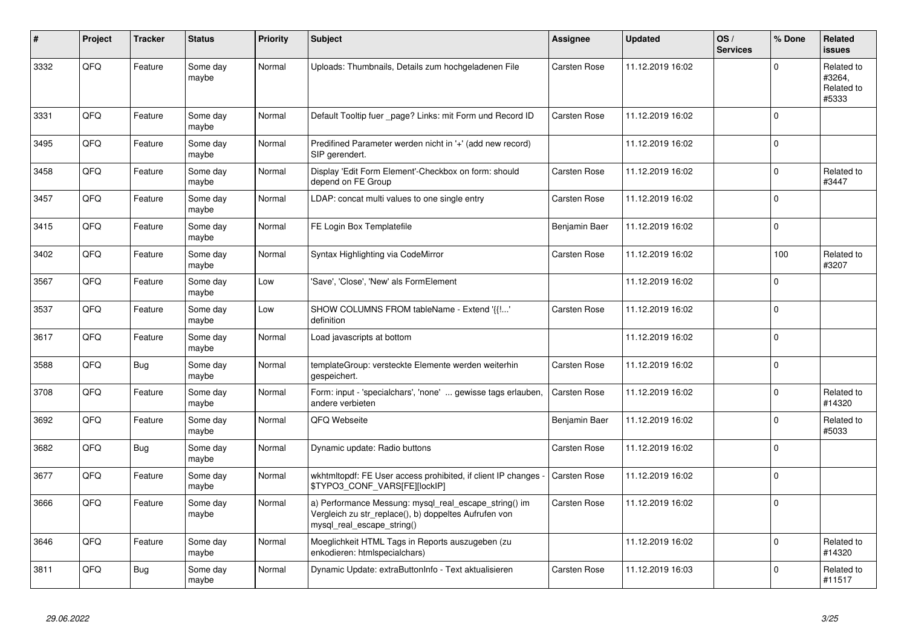| #    | Project | <b>Tracker</b> | <b>Status</b>     | <b>Priority</b> | <b>Subject</b>                                                                                                                               | Assignee            | <b>Updated</b>   | OS/<br><b>Services</b> | % Done       | Related<br><b>issues</b>                    |
|------|---------|----------------|-------------------|-----------------|----------------------------------------------------------------------------------------------------------------------------------------------|---------------------|------------------|------------------------|--------------|---------------------------------------------|
| 3332 | QFQ     | Feature        | Some day<br>maybe | Normal          | Uploads: Thumbnails, Details zum hochgeladenen File                                                                                          | Carsten Rose        | 11.12.2019 16:02 |                        | $\mathbf 0$  | Related to<br>#3264,<br>Related to<br>#5333 |
| 3331 | QFQ     | Feature        | Some day<br>maybe | Normal          | Default Tooltip fuer page? Links: mit Form und Record ID                                                                                     | <b>Carsten Rose</b> | 11.12.2019 16:02 |                        | $\Omega$     |                                             |
| 3495 | QFQ     | Feature        | Some day<br>maybe | Normal          | Predifined Parameter werden nicht in '+' (add new record)<br>SIP gerendert.                                                                  |                     | 11.12.2019 16:02 |                        | $\Omega$     |                                             |
| 3458 | QFQ     | Feature        | Some day<br>maybe | Normal          | Display 'Edit Form Element'-Checkbox on form: should<br>depend on FE Group                                                                   | <b>Carsten Rose</b> | 11.12.2019 16:02 |                        | $\Omega$     | Related to<br>#3447                         |
| 3457 | QFQ     | Feature        | Some day<br>maybe | Normal          | LDAP: concat multi values to one single entry                                                                                                | Carsten Rose        | 11.12.2019 16:02 |                        | $\mathbf{0}$ |                                             |
| 3415 | QFQ     | Feature        | Some day<br>maybe | Normal          | FE Login Box Templatefile                                                                                                                    | Benjamin Baer       | 11.12.2019 16:02 |                        | $\mathbf 0$  |                                             |
| 3402 | QFQ     | Feature        | Some day<br>maybe | Normal          | Syntax Highlighting via CodeMirror                                                                                                           | Carsten Rose        | 11.12.2019 16:02 |                        | 100          | Related to<br>#3207                         |
| 3567 | QFQ     | Feature        | Some day<br>maybe | Low             | 'Save', 'Close', 'New' als FormElement                                                                                                       |                     | 11.12.2019 16:02 |                        | $\mathbf 0$  |                                             |
| 3537 | QFQ     | Feature        | Some day<br>maybe | Low             | SHOW COLUMNS FROM tableName - Extend '{{!'<br>definition                                                                                     | <b>Carsten Rose</b> | 11.12.2019 16:02 |                        | $\Omega$     |                                             |
| 3617 | QFQ     | Feature        | Some day<br>maybe | Normal          | Load javascripts at bottom                                                                                                                   |                     | 11.12.2019 16:02 |                        | $\Omega$     |                                             |
| 3588 | QFQ     | <b>Bug</b>     | Some day<br>maybe | Normal          | templateGroup: versteckte Elemente werden weiterhin<br>gespeichert.                                                                          | Carsten Rose        | 11.12.2019 16:02 |                        | $\Omega$     |                                             |
| 3708 | QFQ     | Feature        | Some day<br>maybe | Normal          | Form: input - 'specialchars', 'none'  gewisse tags erlauben,<br>andere verbieten                                                             | <b>Carsten Rose</b> | 11.12.2019 16:02 |                        | 0            | Related to<br>#14320                        |
| 3692 | QFQ     | Feature        | Some day<br>maybe | Normal          | QFQ Webseite                                                                                                                                 | Benjamin Baer       | 11.12.2019 16:02 |                        | $\mathbf 0$  | Related to<br>#5033                         |
| 3682 | QFQ     | <b>Bug</b>     | Some day<br>maybe | Normal          | Dynamic update: Radio buttons                                                                                                                | Carsten Rose        | 11.12.2019 16:02 |                        | $\mathbf 0$  |                                             |
| 3677 | QFQ     | Feature        | Some day<br>maybe | Normal          | wkhtmitopdf: FE User access prohibited, if client IP changes<br>\$TYPO3_CONF_VARS[FE][lockIP]                                                | Carsten Rose        | 11.12.2019 16:02 |                        | 0            |                                             |
| 3666 | QFQ     | Feature        | Some day<br>maybe | Normal          | a) Performance Messung: mysql_real_escape_string() im<br>Vergleich zu str_replace(), b) doppeltes Aufrufen von<br>mysql_real_escape_string() | Carsten Rose        | 11.12.2019 16:02 |                        | $\Omega$     |                                             |
| 3646 | QFQ     | Feature        | Some day<br>maybe | Normal          | Moeglichkeit HTML Tags in Reports auszugeben (zu<br>enkodieren: htmlspecialchars)                                                            |                     | 11.12.2019 16:02 |                        | 0            | Related to<br>#14320                        |
| 3811 | QFQ     | <b>Bug</b>     | Some day<br>maybe | Normal          | Dynamic Update: extraButtonInfo - Text aktualisieren                                                                                         | Carsten Rose        | 11.12.2019 16:03 |                        | $\mathbf 0$  | Related to<br>#11517                        |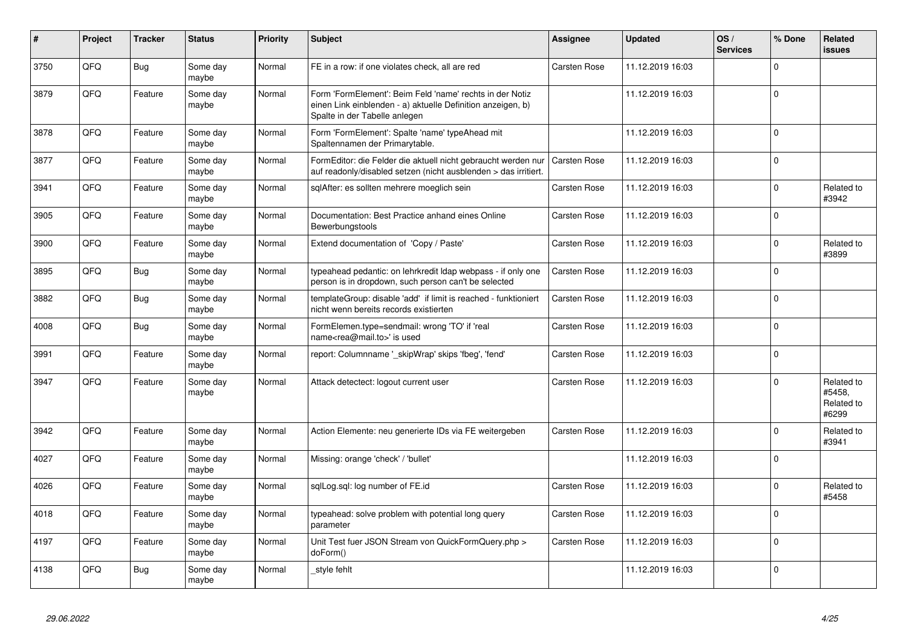| #    | Project | <b>Tracker</b> | <b>Status</b>     | <b>Priority</b> | <b>Subject</b>                                                                                                                                           | <b>Assignee</b>     | <b>Updated</b>   | OS/<br><b>Services</b> | % Done       | Related<br>issues                           |
|------|---------|----------------|-------------------|-----------------|----------------------------------------------------------------------------------------------------------------------------------------------------------|---------------------|------------------|------------------------|--------------|---------------------------------------------|
| 3750 | QFQ     | <b>Bug</b>     | Some day<br>maybe | Normal          | FE in a row: if one violates check, all are red                                                                                                          | Carsten Rose        | 11.12.2019 16:03 |                        | $\mathbf 0$  |                                             |
| 3879 | QFQ     | Feature        | Some day<br>maybe | Normal          | Form 'FormElement': Beim Feld 'name' rechts in der Notiz<br>einen Link einblenden - a) aktuelle Definition anzeigen, b)<br>Spalte in der Tabelle anlegen |                     | 11.12.2019 16:03 |                        | $\Omega$     |                                             |
| 3878 | QFQ     | Feature        | Some day<br>maybe | Normal          | Form 'FormElement': Spalte 'name' typeAhead mit<br>Spaltennamen der Primarytable.                                                                        |                     | 11.12.2019 16:03 |                        | $\Omega$     |                                             |
| 3877 | QFQ     | Feature        | Some day<br>maybe | Normal          | FormEditor: die Felder die aktuell nicht gebraucht werden nur<br>auf readonly/disabled setzen (nicht ausblenden > das irritiert.                         | Carsten Rose        | 11.12.2019 16:03 |                        | $\mathbf 0$  |                                             |
| 3941 | QFQ     | Feature        | Some day<br>maybe | Normal          | sqlAfter: es sollten mehrere moeglich sein                                                                                                               | Carsten Rose        | 11.12.2019 16:03 |                        | $\mathbf 0$  | Related to<br>#3942                         |
| 3905 | QFQ     | Feature        | Some day<br>maybe | Normal          | Documentation: Best Practice anhand eines Online<br>Bewerbungstools                                                                                      | Carsten Rose        | 11.12.2019 16:03 |                        | $\mathbf 0$  |                                             |
| 3900 | QFQ     | Feature        | Some day<br>maybe | Normal          | Extend documentation of 'Copy / Paste'                                                                                                                   | Carsten Rose        | 11.12.2019 16:03 |                        | $\mathbf{0}$ | Related to<br>#3899                         |
| 3895 | QFQ     | <b>Bug</b>     | Some day<br>maybe | Normal          | typeahead pedantic: on lehrkredit Idap webpass - if only one<br>person is in dropdown, such person can't be selected                                     | Carsten Rose        | 11.12.2019 16:03 |                        | $\mathbf 0$  |                                             |
| 3882 | QFQ     | <b>Bug</b>     | Some day<br>maybe | Normal          | templateGroup: disable 'add' if limit is reached - funktioniert<br>nicht wenn bereits records existierten                                                | <b>Carsten Rose</b> | 11.12.2019 16:03 |                        | $\Omega$     |                                             |
| 4008 | QFQ     | <b>Bug</b>     | Some day<br>maybe | Normal          | FormElemen.type=sendmail: wrong 'TO' if 'real<br>name <rea@mail.to>' is used</rea@mail.to>                                                               | <b>Carsten Rose</b> | 11.12.2019 16:03 |                        | $\mathbf 0$  |                                             |
| 3991 | QFQ     | Feature        | Some day<br>maybe | Normal          | report: Columnname ' skipWrap' skips 'fbeg', 'fend'                                                                                                      | <b>Carsten Rose</b> | 11.12.2019 16:03 |                        | 0            |                                             |
| 3947 | QFQ     | Feature        | Some day<br>maybe | Normal          | Attack detectect: logout current user                                                                                                                    | <b>Carsten Rose</b> | 11.12.2019 16:03 |                        | $\Omega$     | Related to<br>#5458,<br>Related to<br>#6299 |
| 3942 | QFQ     | Feature        | Some day<br>maybe | Normal          | Action Elemente: neu generierte IDs via FE weitergeben                                                                                                   | Carsten Rose        | 11.12.2019 16:03 |                        | $\Omega$     | Related to<br>#3941                         |
| 4027 | QFQ     | Feature        | Some day<br>maybe | Normal          | Missing: orange 'check' / 'bullet'                                                                                                                       |                     | 11.12.2019 16:03 |                        | $\mathbf 0$  |                                             |
| 4026 | QFQ     | Feature        | Some day<br>maybe | Normal          | sglLog.sgl: log number of FE.id                                                                                                                          | <b>Carsten Rose</b> | 11.12.2019 16:03 |                        | $\Omega$     | Related to<br>#5458                         |
| 4018 | QFQ     | Feature        | Some day<br>maybe | Normal          | typeahead: solve problem with potential long query<br>parameter                                                                                          | Carsten Rose        | 11.12.2019 16:03 |                        | $\Omega$     |                                             |
| 4197 | QFQ     | Feature        | Some day<br>maybe | Normal          | Unit Test fuer JSON Stream von QuickFormQuery.php ><br>doForm()                                                                                          | Carsten Rose        | 11.12.2019 16:03 |                        | $\Omega$     |                                             |
| 4138 | QFQ     | <b>Bug</b>     | Some day<br>maybe | Normal          | _style fehlt                                                                                                                                             |                     | 11.12.2019 16:03 |                        | $\Omega$     |                                             |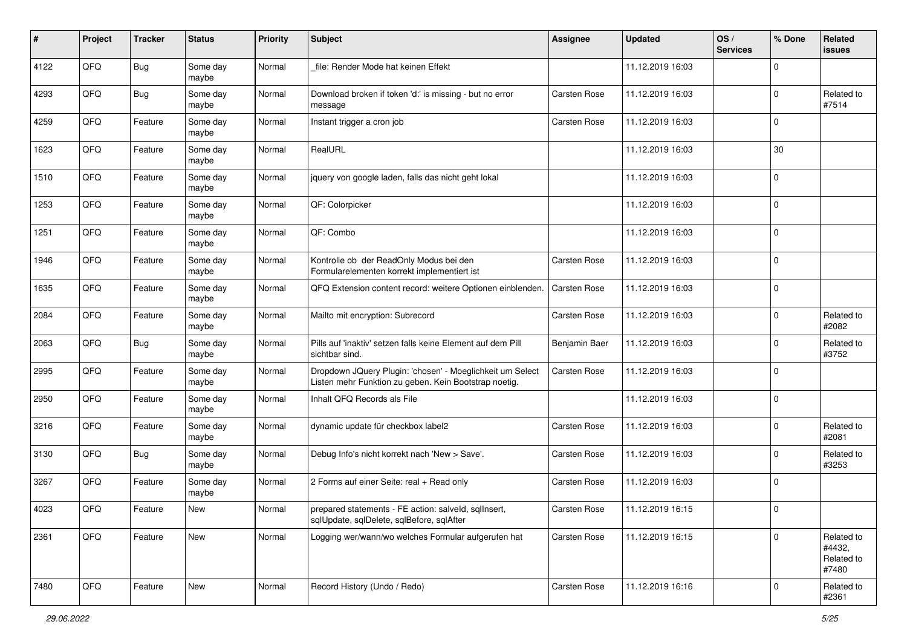| ∦    | Project | <b>Tracker</b> | <b>Status</b>     | <b>Priority</b> | <b>Subject</b>                                                                                                     | <b>Assignee</b>     | <b>Updated</b>   | OS/<br><b>Services</b> | % Done         | Related<br>issues                           |
|------|---------|----------------|-------------------|-----------------|--------------------------------------------------------------------------------------------------------------------|---------------------|------------------|------------------------|----------------|---------------------------------------------|
| 4122 | QFQ     | <b>Bug</b>     | Some day<br>maybe | Normal          | file: Render Mode hat keinen Effekt                                                                                |                     | 11.12.2019 16:03 |                        | $\mathbf 0$    |                                             |
| 4293 | QFQ     | <b>Bug</b>     | Some day<br>maybe | Normal          | Download broken if token 'd:' is missing - but no error<br>message                                                 | Carsten Rose        | 11.12.2019 16:03 |                        | $\mathbf 0$    | Related to<br>#7514                         |
| 4259 | QFQ     | Feature        | Some day<br>maybe | Normal          | Instant trigger a cron job                                                                                         | Carsten Rose        | 11.12.2019 16:03 |                        | $\mathbf 0$    |                                             |
| 1623 | QFQ     | Feature        | Some day<br>maybe | Normal          | RealURL                                                                                                            |                     | 11.12.2019 16:03 |                        | 30             |                                             |
| 1510 | QFQ     | Feature        | Some day<br>maybe | Normal          | jquery von google laden, falls das nicht geht lokal                                                                |                     | 11.12.2019 16:03 |                        | $\mathbf 0$    |                                             |
| 1253 | QFQ     | Feature        | Some day<br>maybe | Normal          | QF: Colorpicker                                                                                                    |                     | 11.12.2019 16:03 |                        | $\mathbf 0$    |                                             |
| 1251 | QFQ     | Feature        | Some day<br>maybe | Normal          | QF: Combo                                                                                                          |                     | 11.12.2019 16:03 |                        | $\mathbf 0$    |                                             |
| 1946 | QFQ     | Feature        | Some day<br>maybe | Normal          | Kontrolle ob der ReadOnly Modus bei den<br>Formularelementen korrekt implementiert ist                             | Carsten Rose        | 11.12.2019 16:03 |                        | 0              |                                             |
| 1635 | QFQ     | Feature        | Some day<br>maybe | Normal          | QFQ Extension content record: weitere Optionen einblenden.                                                         | Carsten Rose        | 11.12.2019 16:03 |                        | 0              |                                             |
| 2084 | QFQ     | Feature        | Some day<br>maybe | Normal          | Mailto mit encryption: Subrecord                                                                                   | Carsten Rose        | 11.12.2019 16:03 |                        | 0              | Related to<br>#2082                         |
| 2063 | QFQ     | <b>Bug</b>     | Some day<br>maybe | Normal          | Pills auf 'inaktiv' setzen falls keine Element auf dem Pill<br>sichtbar sind.                                      | Benjamin Baer       | 11.12.2019 16:03 |                        | 0              | Related to<br>#3752                         |
| 2995 | QFQ     | Feature        | Some day<br>maybe | Normal          | Dropdown JQuery Plugin: 'chosen' - Moeglichkeit um Select<br>Listen mehr Funktion zu geben. Kein Bootstrap noetig. | Carsten Rose        | 11.12.2019 16:03 |                        | $\mathbf 0$    |                                             |
| 2950 | QFQ     | Feature        | Some day<br>maybe | Normal          | Inhalt QFQ Records als File                                                                                        |                     | 11.12.2019 16:03 |                        | 0              |                                             |
| 3216 | QFQ     | Feature        | Some day<br>maybe | Normal          | dynamic update für checkbox label2                                                                                 | <b>Carsten Rose</b> | 11.12.2019 16:03 |                        | $\mathbf 0$    | Related to<br>#2081                         |
| 3130 | QFQ     | <b>Bug</b>     | Some day<br>maybe | Normal          | Debug Info's nicht korrekt nach 'New > Save'.                                                                      | Carsten Rose        | 11.12.2019 16:03 |                        | $\mathbf 0$    | Related to<br>#3253                         |
| 3267 | QFQ     | Feature        | Some day<br>maybe | Normal          | 2 Forms auf einer Seite: real + Read only                                                                          | Carsten Rose        | 11.12.2019 16:03 |                        | 0              |                                             |
| 4023 | QFQ     | Feature        | New               | Normal          | prepared statements - FE action: salveld, sqllnsert,<br>sqlUpdate, sqlDelete, sqlBefore, sqlAfter                  | Carsten Rose        | 11.12.2019 16:15 |                        | $\mathbf 0$    |                                             |
| 2361 | QFQ     | Feature        | New               | Normal          | Logging wer/wann/wo welches Formular aufgerufen hat                                                                | Carsten Rose        | 11.12.2019 16:15 |                        | 0              | Related to<br>#4432,<br>Related to<br>#7480 |
| 7480 | QFG     | Feature        | New               | Normal          | Record History (Undo / Redo)                                                                                       | Carsten Rose        | 11.12.2019 16:16 |                        | $\overline{0}$ | Related to<br>#2361                         |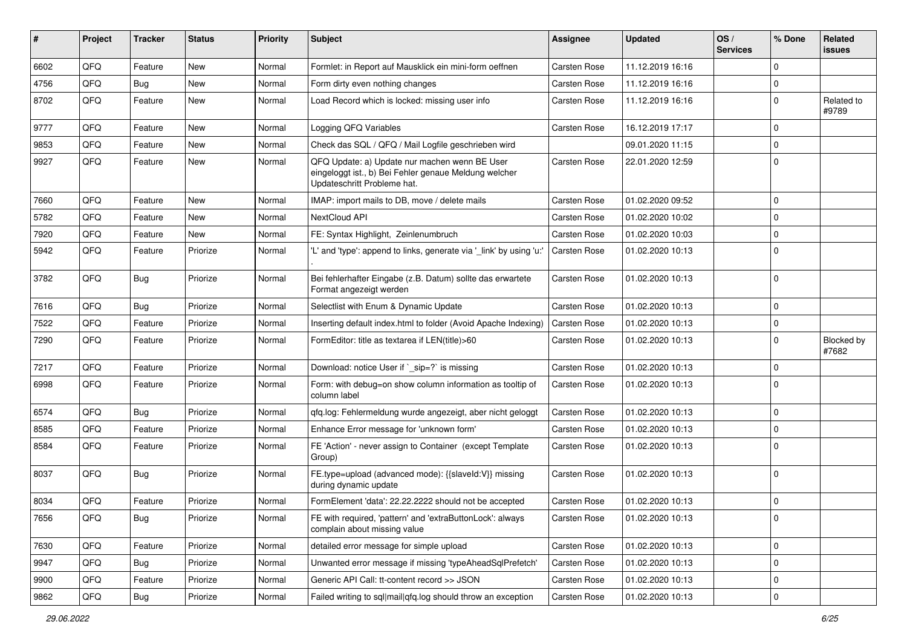| #    | <b>Project</b> | <b>Tracker</b> | <b>Status</b> | <b>Priority</b> | <b>Subject</b>                                                                                                                        | <b>Assignee</b>     | <b>Updated</b>   | OS/<br><b>Services</b> | % Done      | Related<br>issues   |
|------|----------------|----------------|---------------|-----------------|---------------------------------------------------------------------------------------------------------------------------------------|---------------------|------------------|------------------------|-------------|---------------------|
| 6602 | QFQ            | Feature        | <b>New</b>    | Normal          | Formlet: in Report auf Mausklick ein mini-form oeffnen                                                                                | <b>Carsten Rose</b> | 11.12.2019 16:16 |                        | 0           |                     |
| 4756 | QFQ            | Bug            | New           | Normal          | Form dirty even nothing changes                                                                                                       | Carsten Rose        | 11.12.2019 16:16 |                        | $\mathbf 0$ |                     |
| 8702 | QFQ            | Feature        | New           | Normal          | Load Record which is locked: missing user info                                                                                        | Carsten Rose        | 11.12.2019 16:16 |                        | $\mathbf 0$ | Related to<br>#9789 |
| 9777 | QFQ            | Feature        | New           | Normal          | Logging QFQ Variables                                                                                                                 | Carsten Rose        | 16.12.2019 17:17 |                        | $\mathbf 0$ |                     |
| 9853 | QFQ            | Feature        | New           | Normal          | Check das SQL / QFQ / Mail Logfile geschrieben wird                                                                                   |                     | 09.01.2020 11:15 |                        | $\mathbf 0$ |                     |
| 9927 | QFQ            | Feature        | New           | Normal          | QFQ Update: a) Update nur machen wenn BE User<br>eingeloggt ist., b) Bei Fehler genaue Meldung welcher<br>Updateschritt Probleme hat. | <b>Carsten Rose</b> | 22.01.2020 12:59 |                        | $\mathbf 0$ |                     |
| 7660 | QFQ            | Feature        | New           | Normal          | IMAP: import mails to DB, move / delete mails                                                                                         | Carsten Rose        | 01.02.2020 09:52 |                        | $\mathbf 0$ |                     |
| 5782 | QFQ            | Feature        | New           | Normal          | NextCloud API                                                                                                                         | Carsten Rose        | 01.02.2020 10:02 |                        | $\mathbf 0$ |                     |
| 7920 | QFQ            | Feature        | New           | Normal          | FE: Syntax Highlight, Zeinlenumbruch                                                                                                  | Carsten Rose        | 01.02.2020 10:03 |                        | $\mathbf 0$ |                     |
| 5942 | QFQ            | Feature        | Priorize      | Normal          | 'L' and 'type': append to links, generate via '_link' by using 'u:'                                                                   | <b>Carsten Rose</b> | 01.02.2020 10:13 |                        | $\mathbf 0$ |                     |
| 3782 | QFQ            | <b>Bug</b>     | Priorize      | Normal          | Bei fehlerhafter Eingabe (z.B. Datum) sollte das erwartete<br>Format angezeigt werden                                                 | <b>Carsten Rose</b> | 01.02.2020 10:13 |                        | $\mathbf 0$ |                     |
| 7616 | QFQ            | <b>Bug</b>     | Priorize      | Normal          | Selectlist with Enum & Dynamic Update                                                                                                 | Carsten Rose        | 01.02.2020 10:13 |                        | $\mathbf 0$ |                     |
| 7522 | QFQ            | Feature        | Priorize      | Normal          | Inserting default index.html to folder (Avoid Apache Indexing)                                                                        | <b>Carsten Rose</b> | 01.02.2020 10:13 |                        | 0           |                     |
| 7290 | QFQ            | Feature        | Priorize      | Normal          | FormEditor: title as textarea if LEN(title)>60                                                                                        | Carsten Rose        | 01.02.2020 10:13 |                        | $\mathbf 0$ | Blocked by<br>#7682 |
| 7217 | QFQ            | Feature        | Priorize      | Normal          | Download: notice User if `_sip=?` is missing                                                                                          | Carsten Rose        | 01.02.2020 10:13 |                        | $\mathbf 0$ |                     |
| 6998 | QFQ            | Feature        | Priorize      | Normal          | Form: with debug=on show column information as tooltip of<br>column label                                                             | <b>Carsten Rose</b> | 01.02.2020 10:13 |                        | $\mathbf 0$ |                     |
| 6574 | QFQ            | Bug            | Priorize      | Normal          | gfg.log: Fehlermeldung wurde angezeigt, aber nicht geloggt                                                                            | Carsten Rose        | 01.02.2020 10:13 |                        | $\mathbf 0$ |                     |
| 8585 | QFQ            | Feature        | Priorize      | Normal          | Enhance Error message for 'unknown form'                                                                                              | Carsten Rose        | 01.02.2020 10:13 |                        | $\mathbf 0$ |                     |
| 8584 | QFQ            | Feature        | Priorize      | Normal          | FE 'Action' - never assign to Container (except Template<br>Group)                                                                    | Carsten Rose        | 01.02.2020 10:13 |                        | 0           |                     |
| 8037 | QFQ            | <b>Bug</b>     | Priorize      | Normal          | FE.type=upload (advanced mode): {{slaveld:V}} missing<br>during dynamic update                                                        | Carsten Rose        | 01.02.2020 10:13 |                        | $\mathbf 0$ |                     |
| 8034 | QFQ            | Feature        | Priorize      | Normal          | FormElement 'data': 22.22.2222 should not be accepted                                                                                 | Carsten Rose        | 01.02.2020 10:13 |                        | $\mathbf 0$ |                     |
| 7656 | QFQ            | <b>Bug</b>     | Priorize      | Normal          | FE with required, 'pattern' and 'extraButtonLock': always<br>complain about missing value                                             | Carsten Rose        | 01.02.2020 10:13 |                        | 0           |                     |
| 7630 | QFQ            | Feature        | Priorize      | Normal          | detailed error message for simple upload                                                                                              | Carsten Rose        | 01.02.2020 10:13 |                        | $\mathbf 0$ |                     |
| 9947 | QFQ            | <b>Bug</b>     | Priorize      | Normal          | Unwanted error message if missing 'typeAheadSqlPrefetch'                                                                              | Carsten Rose        | 01.02.2020 10:13 |                        | 0           |                     |
| 9900 | QFQ            | Feature        | Priorize      | Normal          | Generic API Call: tt-content record >> JSON                                                                                           | Carsten Rose        | 01.02.2020 10:13 |                        | 0           |                     |
| 9862 | $\mathsf{QFQ}$ | <b>Bug</b>     | Priorize      | Normal          | Failed writing to sql mail qfq.log should throw an exception                                                                          | Carsten Rose        | 01.02.2020 10:13 |                        | $\pmb{0}$   |                     |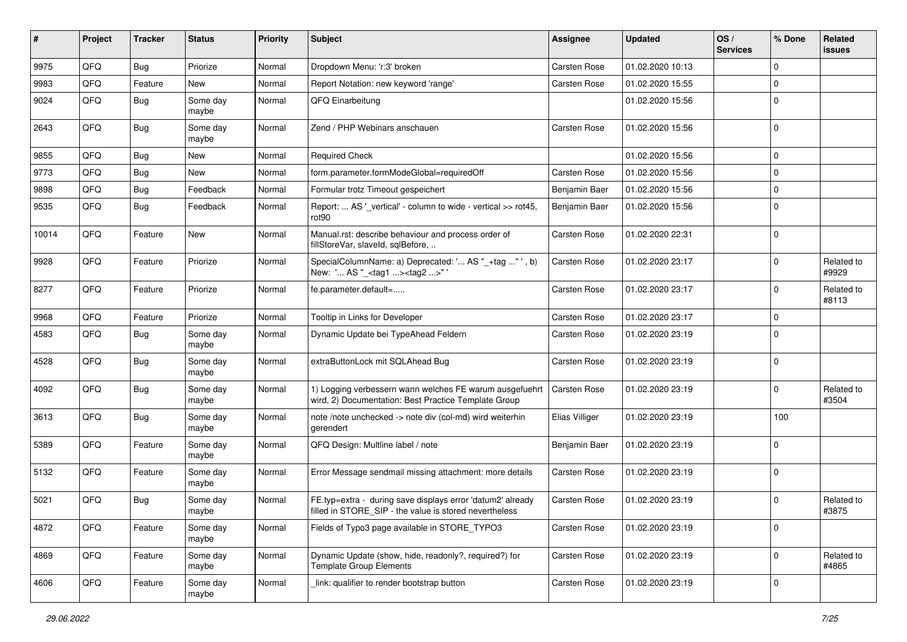| #     | Project | <b>Tracker</b> | <b>Status</b>     | <b>Priority</b> | <b>Subject</b>                                                                                                       | <b>Assignee</b>     | <b>Updated</b>   | OS/<br><b>Services</b> | % Done      | Related<br>issues   |
|-------|---------|----------------|-------------------|-----------------|----------------------------------------------------------------------------------------------------------------------|---------------------|------------------|------------------------|-------------|---------------------|
| 9975  | QFQ     | <b>Bug</b>     | Priorize          | Normal          | Dropdown Menu: 'r:3' broken                                                                                          | Carsten Rose        | 01.02.2020 10:13 |                        | $\mathbf 0$ |                     |
| 9983  | QFQ     | Feature        | New               | Normal          | Report Notation: new keyword 'range'                                                                                 | Carsten Rose        | 01.02.2020 15:55 |                        | $\mathbf 0$ |                     |
| 9024  | QFQ     | Bug            | Some day<br>maybe | Normal          | QFQ Einarbeitung                                                                                                     |                     | 01.02.2020 15:56 |                        | $\mathbf 0$ |                     |
| 2643  | QFQ     | <b>Bug</b>     | Some day<br>maybe | Normal          | Zend / PHP Webinars anschauen                                                                                        | Carsten Rose        | 01.02.2020 15:56 |                        | $\mathbf 0$ |                     |
| 9855  | QFQ     | Bug            | New               | Normal          | <b>Required Check</b>                                                                                                |                     | 01.02.2020 15:56 |                        | 0           |                     |
| 9773  | QFQ     | Bug            | New               | Normal          | form.parameter.formModeGlobal=requiredOff                                                                            | Carsten Rose        | 01.02.2020 15:56 |                        | $\mathbf 0$ |                     |
| 9898  | QFQ     | Bug            | Feedback          | Normal          | Formular trotz Timeout gespeichert                                                                                   | Benjamin Baer       | 01.02.2020 15:56 |                        | $\mathbf 0$ |                     |
| 9535  | QFQ     | <b>Bug</b>     | Feedback          | Normal          | Report:  AS '_vertical' - column to wide - vertical >> rot45,<br>rot90                                               | Benjamin Baer       | 01.02.2020 15:56 |                        | $\mathbf 0$ |                     |
| 10014 | QFQ     | Feature        | <b>New</b>        | Normal          | Manual.rst: describe behaviour and process order of<br>fillStoreVar, slaveId, sqlBefore,                             | Carsten Rose        | 01.02.2020 22:31 |                        | $\mathbf 0$ |                     |
| 9928  | QFQ     | Feature        | Priorize          | Normal          | SpecialColumnName: a) Deprecated: ' AS "_+tag " ', b)<br>New: ' AS "_ <tag1><tag2>"'</tag2></tag1>                   | Carsten Rose        | 01.02.2020 23:17 |                        | $\mathbf 0$ | Related to<br>#9929 |
| 8277  | QFQ     | Feature        | Priorize          | Normal          | fe.parameter.default=                                                                                                | Carsten Rose        | 01.02.2020 23:17 |                        | 0           | Related to<br>#8113 |
| 9968  | QFQ     | Feature        | Priorize          | Normal          | Tooltip in Links for Developer                                                                                       | Carsten Rose        | 01.02.2020 23:17 |                        | $\mathbf 0$ |                     |
| 4583  | QFQ     | Bug            | Some day<br>maybe | Normal          | Dynamic Update bei TypeAhead Feldern                                                                                 | Carsten Rose        | 01.02.2020 23:19 |                        | $\mathbf 0$ |                     |
| 4528  | QFQ     | Bug            | Some day<br>maybe | Normal          | extraButtonLock mit SQLAhead Bug                                                                                     | Carsten Rose        | 01.02.2020 23:19 |                        | $\Omega$    |                     |
| 4092  | QFQ     | <b>Bug</b>     | Some day<br>maybe | Normal          | 1) Logging verbessern wann welches FE warum ausgefuehrt<br>wird, 2) Documentation: Best Practice Template Group      | <b>Carsten Rose</b> | 01.02.2020 23:19 |                        | $\mathbf 0$ | Related to<br>#3504 |
| 3613  | QFQ     | <b>Bug</b>     | Some day<br>maybe | Normal          | note /note unchecked -> note div (col-md) wird weiterhin<br>gerendert                                                | Elias Villiger      | 01.02.2020 23:19 |                        | 100         |                     |
| 5389  | QFQ     | Feature        | Some day<br>maybe | Normal          | QFQ Design: Multline label / note                                                                                    | Benjamin Baer       | 01.02.2020 23:19 |                        | 0           |                     |
| 5132  | QFQ     | Feature        | Some day<br>maybe | Normal          | Error Message sendmail missing attachment: more details                                                              | Carsten Rose        | 01.02.2020 23:19 |                        | 0           |                     |
| 5021  | QFQ     | <b>Bug</b>     | Some day<br>maybe | Normal          | FE.typ=extra - during save displays error 'datum2' already<br>filled in STORE SIP - the value is stored nevertheless | <b>Carsten Rose</b> | 01.02.2020 23:19 |                        | $\mathbf 0$ | Related to<br>#3875 |
| 4872  | QFQ     | Feature        | Some day<br>maybe | Normal          | Fields of Typo3 page available in STORE_TYPO3                                                                        | Carsten Rose        | 01.02.2020 23:19 |                        | 0           |                     |
| 4869  | QFQ     | Feature        | Some day<br>maybe | Normal          | Dynamic Update (show, hide, readonly?, required?) for<br><b>Template Group Elements</b>                              | Carsten Rose        | 01.02.2020 23:19 |                        | 0           | Related to<br>#4865 |
| 4606  | QFG     | Feature        | Some day<br>maybe | Normal          | link: qualifier to render bootstrap button                                                                           | Carsten Rose        | 01.02.2020 23:19 |                        | 0           |                     |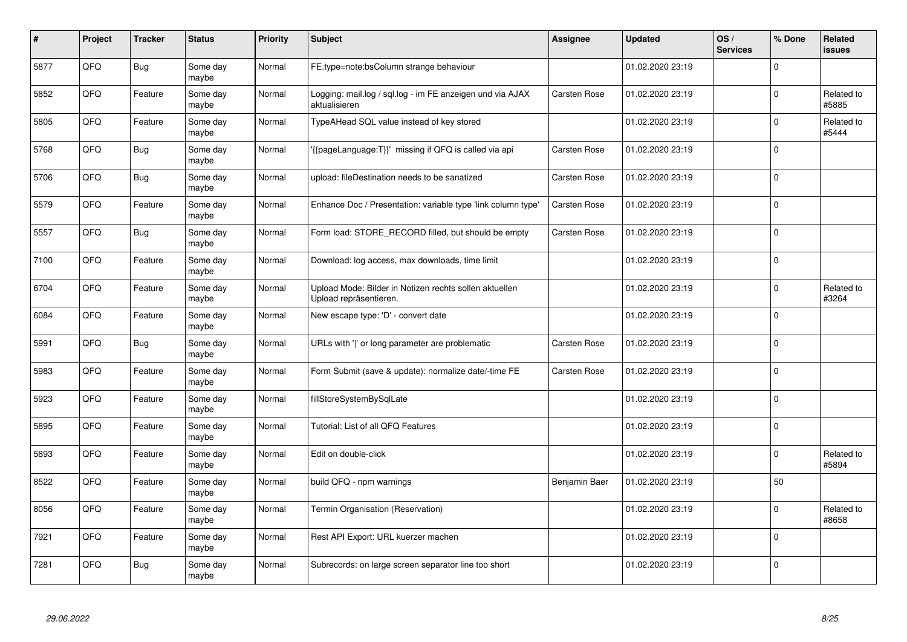| $\vert$ # | Project | <b>Tracker</b> | <b>Status</b>     | <b>Priority</b> | <b>Subject</b>                                                                   | Assignee            | <b>Updated</b>   | OS/<br><b>Services</b> | % Done      | Related<br>issues   |
|-----------|---------|----------------|-------------------|-----------------|----------------------------------------------------------------------------------|---------------------|------------------|------------------------|-------------|---------------------|
| 5877      | QFQ     | <b>Bug</b>     | Some day<br>maybe | Normal          | FE.type=note:bsColumn strange behaviour                                          |                     | 01.02.2020 23:19 |                        | $\Omega$    |                     |
| 5852      | QFQ     | Feature        | Some day<br>maybe | Normal          | Logging: mail.log / sql.log - im FE anzeigen und via AJAX<br>aktualisieren       | <b>Carsten Rose</b> | 01.02.2020 23:19 |                        | $\Omega$    | Related to<br>#5885 |
| 5805      | QFQ     | Feature        | Some day<br>maybe | Normal          | TypeAHead SQL value instead of key stored                                        |                     | 01.02.2020 23:19 |                        | $\mathbf 0$ | Related to<br>#5444 |
| 5768      | QFQ     | <b>Bug</b>     | Some day<br>maybe | Normal          | '{{pageLanguage:T}}' missing if QFQ is called via api                            | Carsten Rose        | 01.02.2020 23:19 |                        | $\Omega$    |                     |
| 5706      | QFQ     | <b>Bug</b>     | Some day<br>maybe | Normal          | upload: fileDestination needs to be sanatized                                    | <b>Carsten Rose</b> | 01.02.2020 23:19 |                        | $\Omega$    |                     |
| 5579      | QFQ     | Feature        | Some day<br>maybe | Normal          | Enhance Doc / Presentation: variable type 'link column type'                     | <b>Carsten Rose</b> | 01.02.2020 23:19 |                        | $\Omega$    |                     |
| 5557      | QFQ     | <b>Bug</b>     | Some day<br>maybe | Normal          | Form load: STORE_RECORD filled, but should be empty                              | <b>Carsten Rose</b> | 01.02.2020 23:19 |                        | 0           |                     |
| 7100      | QFQ     | Feature        | Some day<br>maybe | Normal          | Download: log access, max downloads, time limit                                  |                     | 01.02.2020 23:19 |                        | $\Omega$    |                     |
| 6704      | QFQ     | Feature        | Some day<br>maybe | Normal          | Upload Mode: Bilder in Notizen rechts sollen aktuellen<br>Upload repräsentieren. |                     | 01.02.2020 23:19 |                        | $\Omega$    | Related to<br>#3264 |
| 6084      | QFQ     | Feature        | Some day<br>maybe | Normal          | New escape type: 'D' - convert date                                              |                     | 01.02.2020 23:19 |                        | $\Omega$    |                     |
| 5991      | QFQ     | <b>Bug</b>     | Some day<br>maybe | Normal          | URLs with ' ' or long parameter are problematic                                  | <b>Carsten Rose</b> | 01.02.2020 23:19 |                        | $\Omega$    |                     |
| 5983      | QFQ     | Feature        | Some day<br>maybe | Normal          | Form Submit (save & update): normalize date/-time FE                             | Carsten Rose        | 01.02.2020 23:19 |                        | $\Omega$    |                     |
| 5923      | QFQ     | Feature        | Some day<br>maybe | Normal          | fillStoreSystemBySqlLate                                                         |                     | 01.02.2020 23:19 |                        | $\mathbf 0$ |                     |
| 5895      | QFQ     | Feature        | Some day<br>maybe | Normal          | Tutorial: List of all QFQ Features                                               |                     | 01.02.2020 23:19 |                        | $\mathbf 0$ |                     |
| 5893      | QFQ     | Feature        | Some day<br>maybe | Normal          | Edit on double-click                                                             |                     | 01.02.2020 23:19 |                        | $\Omega$    | Related to<br>#5894 |
| 8522      | QFQ     | Feature        | Some day<br>maybe | Normal          | build QFQ - npm warnings                                                         | Benjamin Baer       | 01.02.2020 23:19 |                        | 50          |                     |
| 8056      | QFQ     | Feature        | Some day<br>maybe | Normal          | Termin Organisation (Reservation)                                                |                     | 01.02.2020 23:19 |                        | $\Omega$    | Related to<br>#8658 |
| 7921      | QFQ     | Feature        | Some day<br>maybe | Normal          | Rest API Export: URL kuerzer machen                                              |                     | 01.02.2020 23:19 |                        | $\mathbf 0$ |                     |
| 7281      | QFQ     | <b>Bug</b>     | Some day<br>maybe | Normal          | Subrecords: on large screen separator line too short                             |                     | 01.02.2020 23:19 |                        | $\Omega$    |                     |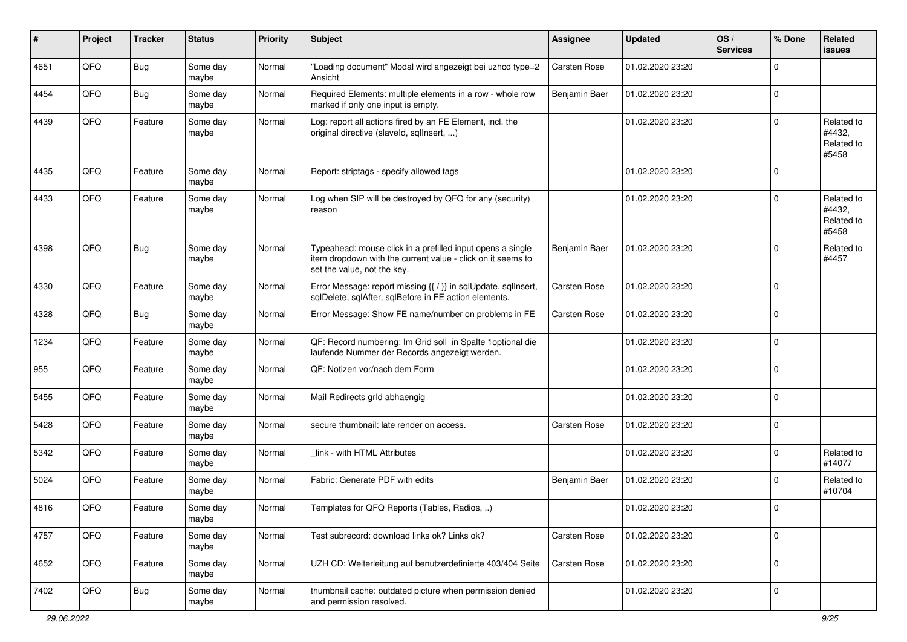| #    | Project | <b>Tracker</b> | <b>Status</b>     | <b>Priority</b> | <b>Subject</b>                                                                                                                                           | <b>Assignee</b> | <b>Updated</b>   | OS/<br><b>Services</b> | % Done      | Related<br>issues                           |
|------|---------|----------------|-------------------|-----------------|----------------------------------------------------------------------------------------------------------------------------------------------------------|-----------------|------------------|------------------------|-------------|---------------------------------------------|
| 4651 | QFQ     | <b>Bug</b>     | Some day<br>maybe | Normal          | "Loading document" Modal wird angezeigt bei uzhcd type=2<br>Ansicht                                                                                      | Carsten Rose    | 01.02.2020 23:20 |                        | $\Omega$    |                                             |
| 4454 | QFQ     | Bug            | Some day<br>maybe | Normal          | Required Elements: multiple elements in a row - whole row<br>marked if only one input is empty.                                                          | Benjamin Baer   | 01.02.2020 23:20 |                        | 0           |                                             |
| 4439 | QFQ     | Feature        | Some day<br>maybe | Normal          | Log: report all actions fired by an FE Element, incl. the<br>original directive (slaveld, sqllnsert, )                                                   |                 | 01.02.2020 23:20 |                        | $\Omega$    | Related to<br>#4432,<br>Related to<br>#5458 |
| 4435 | QFQ     | Feature        | Some day<br>maybe | Normal          | Report: striptags - specify allowed tags                                                                                                                 |                 | 01.02.2020 23:20 |                        | 0           |                                             |
| 4433 | QFQ     | Feature        | Some day<br>maybe | Normal          | Log when SIP will be destroyed by QFQ for any (security)<br>reason                                                                                       |                 | 01.02.2020 23:20 |                        | $\Omega$    | Related to<br>#4432,<br>Related to<br>#5458 |
| 4398 | QFQ     | <b>Bug</b>     | Some day<br>maybe | Normal          | Typeahead: mouse click in a prefilled input opens a single<br>item dropdown with the current value - click on it seems to<br>set the value, not the key. | Benjamin Baer   | 01.02.2020 23:20 |                        | $\Omega$    | Related to<br>#4457                         |
| 4330 | QFQ     | Feature        | Some day<br>maybe | Normal          | Error Message: report missing {{ / }} in sqlUpdate, sqlInsert,<br>sqlDelete, sqlAfter, sqlBefore in FE action elements.                                  | Carsten Rose    | 01.02.2020 23:20 |                        | $\mathbf 0$ |                                             |
| 4328 | QFQ     | <b>Bug</b>     | Some day<br>maybe | Normal          | Error Message: Show FE name/number on problems in FE                                                                                                     | Carsten Rose    | 01.02.2020 23:20 |                        | $\mathbf 0$ |                                             |
| 1234 | QFQ     | Feature        | Some day<br>maybe | Normal          | QF: Record numbering: Im Grid soll in Spalte 1 optional die<br>laufende Nummer der Records angezeigt werden.                                             |                 | 01.02.2020 23:20 |                        | $\Omega$    |                                             |
| 955  | QFQ     | Feature        | Some day<br>maybe | Normal          | QF: Notizen vor/nach dem Form                                                                                                                            |                 | 01.02.2020 23:20 |                        | $\Omega$    |                                             |
| 5455 | QFQ     | Feature        | Some day<br>maybe | Normal          | Mail Redirects grld abhaengig                                                                                                                            |                 | 01.02.2020 23:20 |                        | $\Omega$    |                                             |
| 5428 | QFQ     | Feature        | Some day<br>maybe | Normal          | secure thumbnail: late render on access.                                                                                                                 | Carsten Rose    | 01.02.2020 23:20 |                        | $\Omega$    |                                             |
| 5342 | QFQ     | Feature        | Some day<br>maybe | Normal          | link - with HTML Attributes                                                                                                                              |                 | 01.02.2020 23:20 |                        | $\Omega$    | Related to<br>#14077                        |
| 5024 | QFQ     | Feature        | Some day<br>maybe | Normal          | Fabric: Generate PDF with edits                                                                                                                          | Benjamin Baer   | 01.02.2020 23:20 |                        | $\Omega$    | Related to<br>#10704                        |
| 4816 | QFQ     | Feature        | Some day<br>maybe | Normal          | Templates for QFQ Reports (Tables, Radios, )                                                                                                             |                 | 01.02.2020 23:20 |                        | 0 I         |                                             |
| 4757 | QFG     | Feature        | Some day<br>maybe | Normal          | Test subrecord: download links ok? Links ok?                                                                                                             | Carsten Rose    | 01.02.2020 23:20 |                        | $\mathbf 0$ |                                             |
| 4652 | QFG     | Feature        | Some day<br>maybe | Normal          | UZH CD: Weiterleitung auf benutzerdefinierte 403/404 Seite                                                                                               | Carsten Rose    | 01.02.2020 23:20 |                        | $\mathbf 0$ |                                             |
| 7402 | QFG     | <b>Bug</b>     | Some day<br>maybe | Normal          | thumbnail cache: outdated picture when permission denied<br>and permission resolved.                                                                     |                 | 01.02.2020 23:20 |                        | 0           |                                             |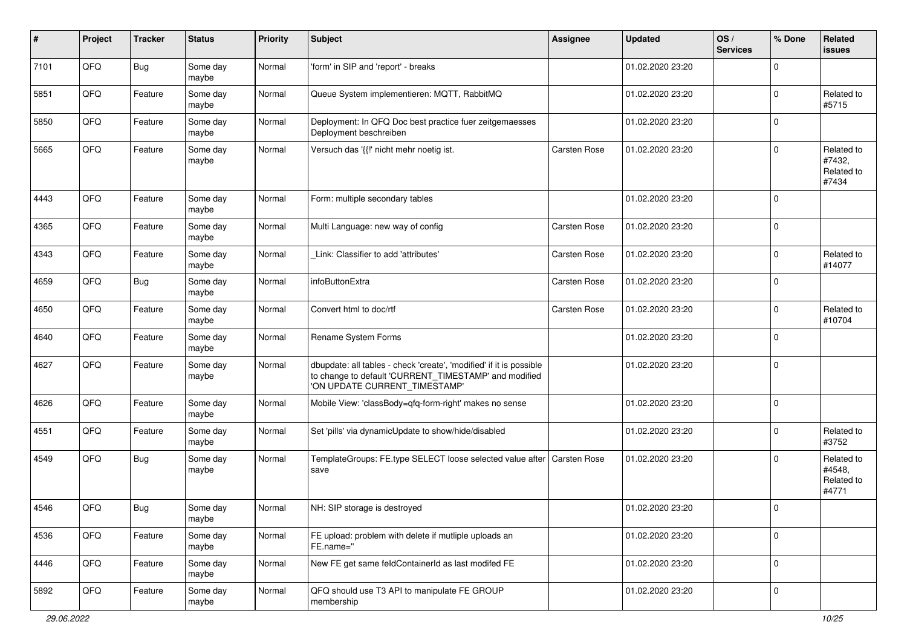| #    | Project | <b>Tracker</b> | <b>Status</b>     | <b>Priority</b> | <b>Subject</b>                                                                                                                                                | <b>Assignee</b>     | <b>Updated</b>   | OS/<br><b>Services</b> | % Done      | Related<br>issues                           |
|------|---------|----------------|-------------------|-----------------|---------------------------------------------------------------------------------------------------------------------------------------------------------------|---------------------|------------------|------------------------|-------------|---------------------------------------------|
| 7101 | QFQ     | <b>Bug</b>     | Some day<br>maybe | Normal          | 'form' in SIP and 'report' - breaks                                                                                                                           |                     | 01.02.2020 23:20 |                        | 0           |                                             |
| 5851 | QFQ     | Feature        | Some day<br>maybe | Normal          | Queue System implementieren: MQTT, RabbitMQ                                                                                                                   |                     | 01.02.2020 23:20 |                        | $\Omega$    | Related to<br>#5715                         |
| 5850 | QFQ     | Feature        | Some day<br>maybe | Normal          | Deployment: In QFQ Doc best practice fuer zeitgemaesses<br>Deployment beschreiben                                                                             |                     | 01.02.2020 23:20 |                        | 0           |                                             |
| 5665 | QFQ     | Feature        | Some day<br>maybe | Normal          | Versuch das '{{!' nicht mehr noetig ist.                                                                                                                      | <b>Carsten Rose</b> | 01.02.2020 23:20 |                        | $\Omega$    | Related to<br>#7432,<br>Related to<br>#7434 |
| 4443 | QFQ     | Feature        | Some day<br>maybe | Normal          | Form: multiple secondary tables                                                                                                                               |                     | 01.02.2020 23:20 |                        | 0           |                                             |
| 4365 | QFQ     | Feature        | Some day<br>maybe | Normal          | Multi Language: new way of config                                                                                                                             | <b>Carsten Rose</b> | 01.02.2020 23:20 |                        | $\mathbf 0$ |                                             |
| 4343 | QFQ     | Feature        | Some day<br>maybe | Normal          | Link: Classifier to add 'attributes'                                                                                                                          | Carsten Rose        | 01.02.2020 23:20 |                        | 0           | Related to<br>#14077                        |
| 4659 | QFQ     | <b>Bug</b>     | Some day<br>maybe | Normal          | infoButtonExtra                                                                                                                                               | Carsten Rose        | 01.02.2020 23:20 |                        | $\Omega$    |                                             |
| 4650 | QFQ     | Feature        | Some day<br>maybe | Normal          | Convert html to doc/rtf                                                                                                                                       | <b>Carsten Rose</b> | 01.02.2020 23:20 |                        | 0           | Related to<br>#10704                        |
| 4640 | QFQ     | Feature        | Some day<br>maybe | Normal          | Rename System Forms                                                                                                                                           |                     | 01.02.2020 23:20 |                        | $\Omega$    |                                             |
| 4627 | QFQ     | Feature        | Some day<br>maybe | Normal          | dbupdate: all tables - check 'create', 'modified' if it is possible<br>to change to default 'CURRENT_TIMESTAMP' and modified<br>'ON UPDATE CURRENT_TIMESTAMP' |                     | 01.02.2020 23:20 |                        | 0           |                                             |
| 4626 | QFQ     | Feature        | Some day<br>maybe | Normal          | Mobile View: 'classBody=qfq-form-right' makes no sense                                                                                                        |                     | 01.02.2020 23:20 |                        | $\mathbf 0$ |                                             |
| 4551 | QFQ     | Feature        | Some day<br>maybe | Normal          | Set 'pills' via dynamicUpdate to show/hide/disabled                                                                                                           |                     | 01.02.2020 23:20 |                        | 0           | Related to<br>#3752                         |
| 4549 | QFQ     | <b>Bug</b>     | Some day<br>maybe | Normal          | TemplateGroups: FE.type SELECT loose selected value after   Carsten Rose<br>save                                                                              |                     | 01.02.2020 23:20 |                        | $\Omega$    | Related to<br>#4548,<br>Related to<br>#4771 |
| 4546 | QFQ     | <b>Bug</b>     | Some day<br>maybe | Normal          | NH: SIP storage is destroyed                                                                                                                                  |                     | 01.02.2020 23:20 |                        | $\mathbf 0$ |                                             |
| 4536 | QFG     | Feature        | Some day<br>maybe | Normal          | FE upload: problem with delete if mutliple uploads an<br>FE.name="                                                                                            |                     | 01.02.2020 23:20 |                        | $\mathbf 0$ |                                             |
| 4446 | QFQ     | Feature        | Some day<br>maybe | Normal          | New FE get same feldContainerId as last modifed FE                                                                                                            |                     | 01.02.2020 23:20 |                        | $\mathbf 0$ |                                             |
| 5892 | QFG     | Feature        | Some day<br>maybe | Normal          | QFQ should use T3 API to manipulate FE GROUP<br>membership                                                                                                    |                     | 01.02.2020 23:20 |                        | 0           |                                             |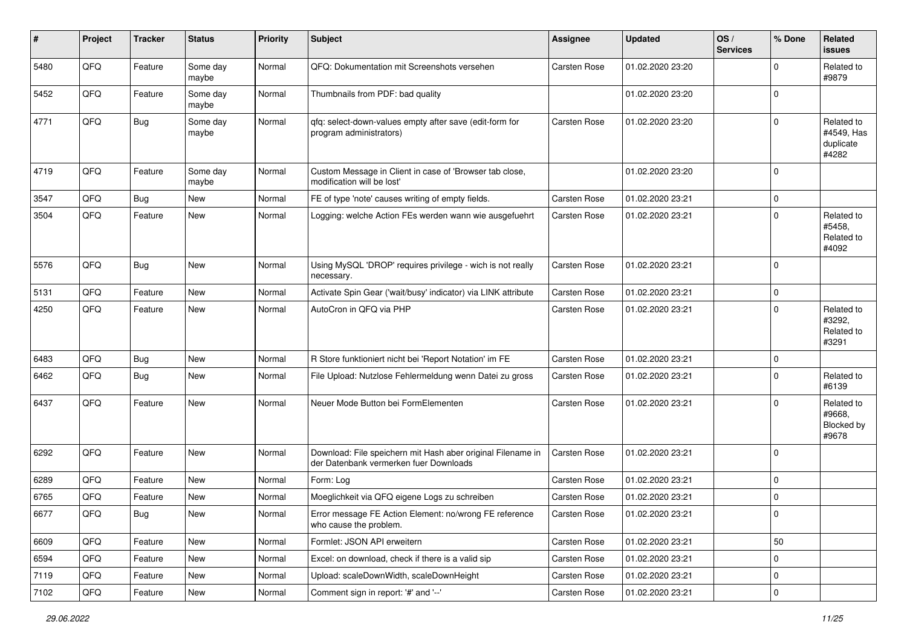| ∦    | Project        | <b>Tracker</b> | <b>Status</b>     | <b>Priority</b> | <b>Subject</b>                                                                                        | <b>Assignee</b> | <b>Updated</b>   | OS/<br><b>Services</b> | % Done              | Related<br>issues                              |
|------|----------------|----------------|-------------------|-----------------|-------------------------------------------------------------------------------------------------------|-----------------|------------------|------------------------|---------------------|------------------------------------------------|
| 5480 | QFQ            | Feature        | Some day<br>maybe | Normal          | QFQ: Dokumentation mit Screenshots versehen                                                           | Carsten Rose    | 01.02.2020 23:20 |                        | 0                   | Related to<br>#9879                            |
| 5452 | QFQ            | Feature        | Some day<br>maybe | Normal          | Thumbnails from PDF: bad quality                                                                      |                 | 01.02.2020 23:20 |                        | $\mathbf 0$         |                                                |
| 4771 | QFQ            | Bug            | Some day<br>maybe | Normal          | qfq: select-down-values empty after save (edit-form for<br>program administrators)                    | Carsten Rose    | 01.02.2020 23:20 |                        | 0                   | Related to<br>#4549, Has<br>duplicate<br>#4282 |
| 4719 | QFQ            | Feature        | Some day<br>maybe | Normal          | Custom Message in Client in case of 'Browser tab close,<br>modification will be lost'                 |                 | 01.02.2020 23:20 |                        | 0                   |                                                |
| 3547 | QFQ            | Bug            | New               | Normal          | FE of type 'note' causes writing of empty fields.                                                     | Carsten Rose    | 01.02.2020 23:21 |                        | 0                   |                                                |
| 3504 | QFQ            | Feature        | New               | Normal          | Logging: welche Action FEs werden wann wie ausgefuehrt                                                | Carsten Rose    | 01.02.2020 23:21 |                        | 0                   | Related to<br>#5458,<br>Related to<br>#4092    |
| 5576 | QFQ            | <b>Bug</b>     | New               | Normal          | Using MySQL 'DROP' requires privilege - wich is not really<br>necessary.                              | Carsten Rose    | 01.02.2020 23:21 |                        | $\mathbf 0$         |                                                |
| 5131 | QFQ            | Feature        | <b>New</b>        | Normal          | Activate Spin Gear ('wait/busy' indicator) via LINK attribute                                         | Carsten Rose    | 01.02.2020 23:21 |                        | 0                   |                                                |
| 4250 | QFQ            | Feature        | New               | Normal          | AutoCron in QFQ via PHP                                                                               | Carsten Rose    | 01.02.2020 23:21 |                        | 0                   | Related to<br>#3292,<br>Related to<br>#3291    |
| 6483 | QFQ            | <b>Bug</b>     | New               | Normal          | R Store funktioniert nicht bei 'Report Notation' im FE                                                | Carsten Rose    | 01.02.2020 23:21 |                        | 0                   |                                                |
| 6462 | QFQ            | <b>Bug</b>     | New               | Normal          | File Upload: Nutzlose Fehlermeldung wenn Datei zu gross                                               | Carsten Rose    | 01.02.2020 23:21 |                        | 0                   | Related to<br>#6139                            |
| 6437 | QFQ            | Feature        | New               | Normal          | Neuer Mode Button bei FormElementen                                                                   | Carsten Rose    | 01.02.2020 23:21 |                        | 0                   | Related to<br>#9668.<br>Blocked by<br>#9678    |
| 6292 | QFQ            | Feature        | New               | Normal          | Download: File speichern mit Hash aber original Filename in<br>der Datenbank vermerken fuer Downloads | Carsten Rose    | 01.02.2020 23:21 |                        | $\mathbf 0$         |                                                |
| 6289 | QFQ            | Feature        | New               | Normal          | Form: Log                                                                                             | Carsten Rose    | 01.02.2020 23:21 |                        | $\mathbf 0$         |                                                |
| 6765 | QFQ            | Feature        | New               | Normal          | Moeglichkeit via QFQ eigene Logs zu schreiben                                                         | Carsten Rose    | 01.02.2020 23:21 |                        | 0                   |                                                |
| 6677 | $\mathsf{QFQ}$ | <b>Bug</b>     | New               | Normal          | Error message FE Action Element: no/wrong FE reference<br>who cause the problem.                      | Carsten Rose    | 01.02.2020 23:21 |                        | 0                   |                                                |
| 6609 | QFQ            | Feature        | New               | Normal          | Formlet: JSON API erweitern                                                                           | Carsten Rose    | 01.02.2020 23:21 |                        | 50                  |                                                |
| 6594 | QFQ            | Feature        | New               | Normal          | Excel: on download, check if there is a valid sip                                                     | Carsten Rose    | 01.02.2020 23:21 |                        | $\mathbf 0$         |                                                |
| 7119 | QFQ            | Feature        | New               | Normal          | Upload: scaleDownWidth, scaleDownHeight                                                               | Carsten Rose    | 01.02.2020 23:21 |                        | 0                   |                                                |
| 7102 | QFQ            | Feature        | New               | Normal          | Comment sign in report: '#' and '--'                                                                  | Carsten Rose    | 01.02.2020 23:21 |                        | $\mathsf{O}\xspace$ |                                                |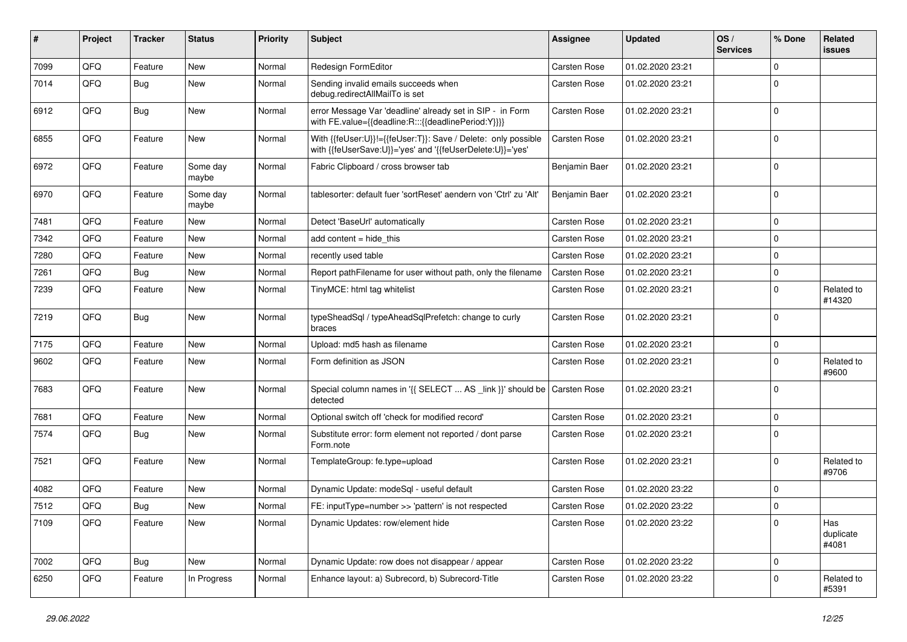| #    | Project | <b>Tracker</b> | <b>Status</b>     | <b>Priority</b> | Subject                                                                                                                    | <b>Assignee</b> | <b>Updated</b>   | OS/<br><b>Services</b> | % Done      | Related<br>issues         |
|------|---------|----------------|-------------------|-----------------|----------------------------------------------------------------------------------------------------------------------------|-----------------|------------------|------------------------|-------------|---------------------------|
| 7099 | QFQ     | Feature        | New               | Normal          | Redesign FormEditor                                                                                                        | Carsten Rose    | 01.02.2020 23:21 |                        | $\Omega$    |                           |
| 7014 | QFQ     | Bug            | New               | Normal          | Sending invalid emails succeeds when<br>debug.redirectAllMailTo is set                                                     | Carsten Rose    | 01.02.2020 23:21 |                        | $\Omega$    |                           |
| 6912 | QFQ     | <b>Bug</b>     | New               | Normal          | error Message Var 'deadline' already set in SIP - in Form<br>with FE.value={{deadline:R:::{{deadlinePeriod:Y}}}}           | Carsten Rose    | 01.02.2020 23:21 |                        | $\Omega$    |                           |
| 6855 | QFQ     | Feature        | New               | Normal          | With {{feUser:U}}!={{feUser:T}}: Save / Delete: only possible<br>with {{feUserSave:U}}='yes' and '{{feUserDelete:U}}='yes' | Carsten Rose    | 01.02.2020 23:21 |                        | $\Omega$    |                           |
| 6972 | QFQ     | Feature        | Some day<br>maybe | Normal          | Fabric Clipboard / cross browser tab                                                                                       | Benjamin Baer   | 01.02.2020 23:21 |                        | $\Omega$    |                           |
| 6970 | QFQ     | Feature        | Some day<br>maybe | Normal          | tablesorter: default fuer 'sortReset' aendern von 'Ctrl' zu 'Alt'                                                          | Benjamin Baer   | 01.02.2020 23:21 |                        | 0           |                           |
| 7481 | QFQ     | Feature        | <b>New</b>        | Normal          | Detect 'BaseUrl' automatically                                                                                             | Carsten Rose    | 01.02.2020 23:21 |                        | $\mathbf 0$ |                           |
| 7342 | QFQ     | Feature        | New               | Normal          | add content $=$ hide this                                                                                                  | Carsten Rose    | 01.02.2020 23:21 |                        | $\mathbf 0$ |                           |
| 7280 | QFQ     | Feature        | New               | Normal          | recently used table                                                                                                        | Carsten Rose    | 01.02.2020 23:21 |                        | $\Omega$    |                           |
| 7261 | QFQ     | Bug            | New               | Normal          | Report pathFilename for user without path, only the filename                                                               | Carsten Rose    | 01.02.2020 23:21 |                        | $\mathbf 0$ |                           |
| 7239 | QFQ     | Feature        | New               | Normal          | TinyMCE: html tag whitelist                                                                                                | Carsten Rose    | 01.02.2020 23:21 |                        | $\Omega$    | Related to<br>#14320      |
| 7219 | QFQ     | Bug            | New               | Normal          | typeSheadSql / typeAheadSqlPrefetch: change to curly<br>braces                                                             | Carsten Rose    | 01.02.2020 23:21 |                        | l 0         |                           |
| 7175 | QFQ     | Feature        | New               | Normal          | Upload: md5 hash as filename                                                                                               | Carsten Rose    | 01.02.2020 23:21 |                        | $\mathbf 0$ |                           |
| 9602 | QFQ     | Feature        | New               | Normal          | Form definition as JSON                                                                                                    | Carsten Rose    | 01.02.2020 23:21 |                        | $\Omega$    | Related to<br>#9600       |
| 7683 | QFQ     | Feature        | New               | Normal          | Special column names in '{{ SELECT  AS _link }}' should be Carsten Rose<br>detected                                        |                 | 01.02.2020 23:21 |                        | $\Omega$    |                           |
| 7681 | QFQ     | Feature        | <b>New</b>        | Normal          | Optional switch off 'check for modified record'                                                                            | Carsten Rose    | 01.02.2020 23:21 |                        | 0           |                           |
| 7574 | QFQ     | Bug            | New               | Normal          | Substitute error: form element not reported / dont parse<br>Form.note                                                      | Carsten Rose    | 01.02.2020 23:21 |                        | $\Omega$    |                           |
| 7521 | QFQ     | Feature        | New               | Normal          | TemplateGroup: fe.type=upload                                                                                              | Carsten Rose    | 01.02.2020 23:21 |                        | $\Omega$    | Related to<br>#9706       |
| 4082 | QFQ     | Feature        | New               | Normal          | Dynamic Update: modeSql - useful default                                                                                   | Carsten Rose    | 01.02.2020 23:22 |                        | $\Omega$    |                           |
| 7512 | QFQ     | <b>Bug</b>     | New               | Normal          | FE: inputType=number >> 'pattern' is not respected                                                                         | Carsten Rose    | 01.02.2020 23:22 |                        | 0 I         |                           |
| 7109 | QFQ     | Feature        | New               | Normal          | Dynamic Updates: row/element hide                                                                                          | Carsten Rose    | 01.02.2020 23:22 |                        | 0           | Has<br>duplicate<br>#4081 |
| 7002 | QFQ     | <b>Bug</b>     | New               | Normal          | Dynamic Update: row does not disappear / appear                                                                            | Carsten Rose    | 01.02.2020 23:22 |                        | $\mathbf 0$ |                           |
| 6250 | QFQ     | Feature        | In Progress       | Normal          | Enhance layout: a) Subrecord, b) Subrecord-Title                                                                           | Carsten Rose    | 01.02.2020 23:22 |                        | $\mathbf 0$ | Related to<br>#5391       |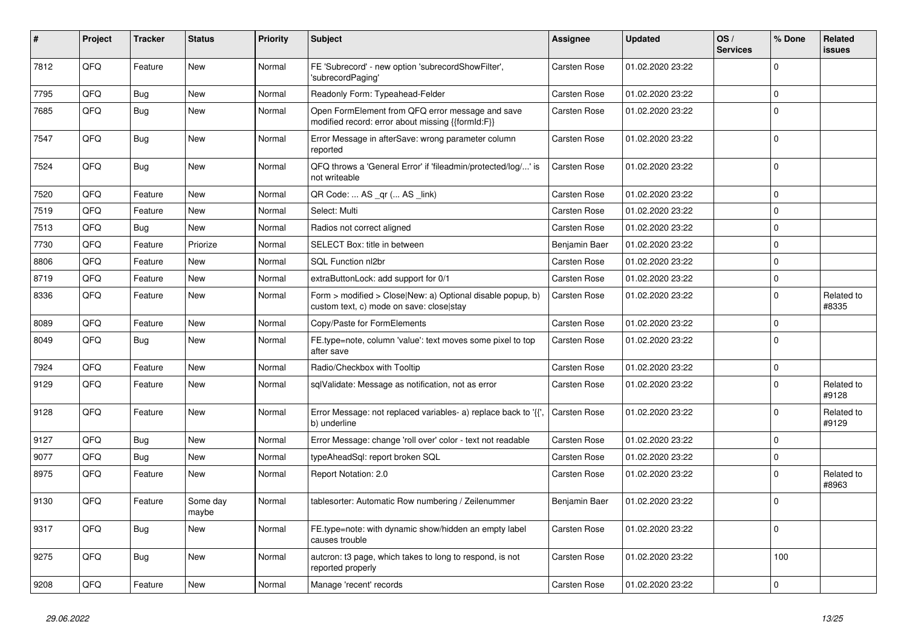| #    | Project | <b>Tracker</b> | <b>Status</b>     | <b>Priority</b> | <b>Subject</b>                                                                                         | Assignee            | <b>Updated</b>   | OS/<br><b>Services</b> | % Done      | Related<br>issues   |
|------|---------|----------------|-------------------|-----------------|--------------------------------------------------------------------------------------------------------|---------------------|------------------|------------------------|-------------|---------------------|
| 7812 | QFQ     | Feature        | <b>New</b>        | Normal          | FE 'Subrecord' - new option 'subrecordShowFilter',<br>'subrecordPaging'                                | Carsten Rose        | 01.02.2020 23:22 |                        | $\Omega$    |                     |
| 7795 | QFQ     | Bug            | <b>New</b>        | Normal          | Readonly Form: Typeahead-Felder                                                                        | <b>Carsten Rose</b> | 01.02.2020 23:22 |                        | $\Omega$    |                     |
| 7685 | QFQ     | <b>Bug</b>     | <b>New</b>        | Normal          | Open FormElement from QFQ error message and save<br>modified record: error about missing {{formId:F}}  | Carsten Rose        | 01.02.2020 23:22 |                        | $\Omega$    |                     |
| 7547 | QFQ     | Bug            | New               | Normal          | Error Message in afterSave: wrong parameter column<br>reported                                         | <b>Carsten Rose</b> | 01.02.2020 23:22 |                        | $\Omega$    |                     |
| 7524 | QFQ     | Bug            | New               | Normal          | QFQ throws a 'General Error' if 'fileadmin/protected/log/' is<br>not writeable                         | <b>Carsten Rose</b> | 01.02.2020 23:22 |                        | $\Omega$    |                     |
| 7520 | QFQ     | Feature        | <b>New</b>        | Normal          | QR Code:  AS _qr ( AS _link)                                                                           | <b>Carsten Rose</b> | 01.02.2020 23:22 |                        | $\Omega$    |                     |
| 7519 | QFQ     | Feature        | New               | Normal          | Select: Multi                                                                                          | <b>Carsten Rose</b> | 01.02.2020 23:22 |                        | $\Omega$    |                     |
| 7513 | QFQ     | <b>Bug</b>     | <b>New</b>        | Normal          | Radios not correct aligned                                                                             | <b>Carsten Rose</b> | 01.02.2020 23:22 |                        | $\Omega$    |                     |
| 7730 | QFQ     | Feature        | Priorize          | Normal          | SELECT Box: title in between                                                                           | Benjamin Baer       | 01.02.2020 23:22 |                        | $\Omega$    |                     |
| 8806 | QFQ     | Feature        | New               | Normal          | SQL Function nl2br                                                                                     | Carsten Rose        | 01.02.2020 23:22 |                        | $\mathbf 0$ |                     |
| 8719 | QFQ     | Feature        | New               | Normal          | extraButtonLock: add support for 0/1                                                                   | Carsten Rose        | 01.02.2020 23:22 |                        | $\mathbf 0$ |                     |
| 8336 | QFQ     | Feature        | New               | Normal          | Form > modified > Close New: a) Optional disable popup, b)<br>custom text, c) mode on save: close stay | Carsten Rose        | 01.02.2020 23:22 |                        | $\mathbf 0$ | Related to<br>#8335 |
| 8089 | QFQ     | Feature        | <b>New</b>        | Normal          | Copy/Paste for FormElements                                                                            | Carsten Rose        | 01.02.2020 23:22 |                        | $\Omega$    |                     |
| 8049 | QFQ     | Bug            | New               | Normal          | FE.type=note, column 'value': text moves some pixel to top<br>after save                               | Carsten Rose        | 01.02.2020 23:22 |                        | $\Omega$    |                     |
| 7924 | QFQ     | Feature        | <b>New</b>        | Normal          | Radio/Checkbox with Tooltip                                                                            | Carsten Rose        | 01.02.2020 23:22 |                        | $\mathbf 0$ |                     |
| 9129 | QFQ     | Feature        | <b>New</b>        | Normal          | sqlValidate: Message as notification, not as error                                                     | <b>Carsten Rose</b> | 01.02.2020 23:22 |                        | $\Omega$    | Related to<br>#9128 |
| 9128 | QFQ     | Feature        | <b>New</b>        | Normal          | Error Message: not replaced variables- a) replace back to '{',<br>b) underline                         | <b>Carsten Rose</b> | 01.02.2020 23:22 |                        | $\Omega$    | Related to<br>#9129 |
| 9127 | QFQ     | Bug            | New               | Normal          | Error Message: change 'roll over' color - text not readable                                            | <b>Carsten Rose</b> | 01.02.2020 23:22 |                        | $\mathbf 0$ |                     |
| 9077 | QFQ     | Bug            | New               | Normal          | typeAheadSql: report broken SQL                                                                        | Carsten Rose        | 01.02.2020 23:22 |                        | $\mathbf 0$ |                     |
| 8975 | QFQ     | Feature        | New               | Normal          | Report Notation: 2.0                                                                                   | Carsten Rose        | 01.02.2020 23:22 |                        | $\Omega$    | Related to<br>#8963 |
| 9130 | QFQ     | Feature        | Some day<br>maybe | Normal          | tablesorter: Automatic Row numbering / Zeilenummer                                                     | Benjamin Baer       | 01.02.2020 23:22 |                        | $\Omega$    |                     |
| 9317 | QFQ     | Bug            | New               | Normal          | FE.type=note: with dynamic show/hidden an empty label<br>causes trouble                                | <b>Carsten Rose</b> | 01.02.2020 23:22 |                        | $\Omega$    |                     |
| 9275 | QFQ     | Bug            | New               | Normal          | autcron: t3 page, which takes to long to respond, is not<br>reported properly                          | Carsten Rose        | 01.02.2020 23:22 |                        | 100         |                     |
| 9208 | QFQ     | Feature        | New               | Normal          | Manage 'recent' records                                                                                | <b>Carsten Rose</b> | 01.02.2020 23:22 |                        | $\Omega$    |                     |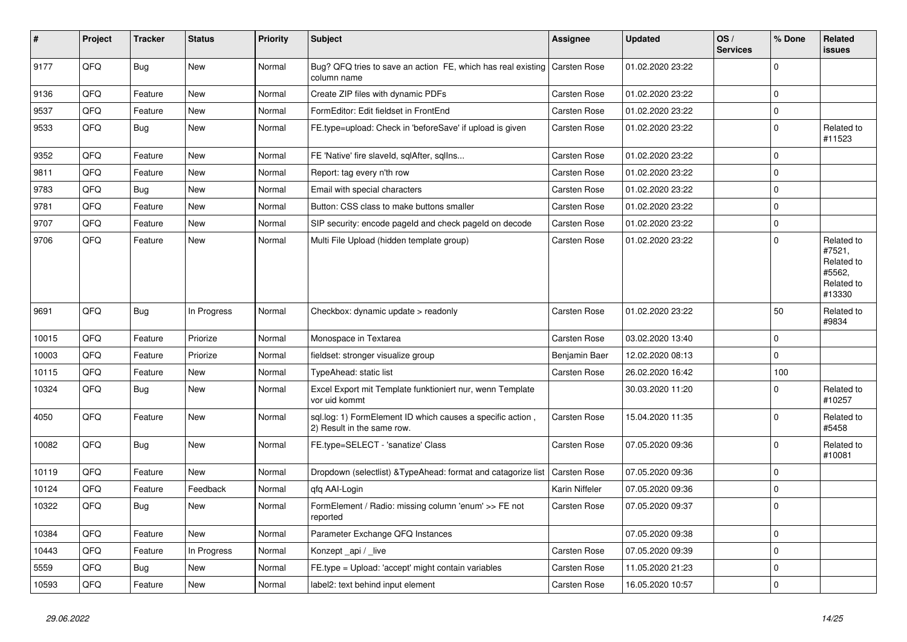| $\vert$ # | Project | <b>Tracker</b> | <b>Status</b> | <b>Priority</b> | <b>Subject</b>                                                                           | <b>Assignee</b>     | <b>Updated</b>   | OS/<br><b>Services</b> | % Done      | Related<br>issues                                                    |
|-----------|---------|----------------|---------------|-----------------|------------------------------------------------------------------------------------------|---------------------|------------------|------------------------|-------------|----------------------------------------------------------------------|
| 9177      | QFQ     | Bug            | <b>New</b>    | Normal          | Bug? QFQ tries to save an action FE, which has real existing<br>column name              | <b>Carsten Rose</b> | 01.02.2020 23:22 |                        | $\mathbf 0$ |                                                                      |
| 9136      | QFQ     | Feature        | <b>New</b>    | Normal          | Create ZIP files with dynamic PDFs                                                       | Carsten Rose        | 01.02.2020 23:22 |                        | $\mathbf 0$ |                                                                      |
| 9537      | QFQ     | Feature        | <b>New</b>    | Normal          | FormEditor: Edit fieldset in FrontEnd                                                    | <b>Carsten Rose</b> | 01.02.2020 23:22 |                        | $\mathbf 0$ |                                                                      |
| 9533      | QFQ     | <b>Bug</b>     | New           | Normal          | FE.type=upload: Check in 'beforeSave' if upload is given                                 | Carsten Rose        | 01.02.2020 23:22 |                        | $\Omega$    | Related to<br>#11523                                                 |
| 9352      | QFQ     | Feature        | New           | Normal          | FE 'Native' fire slaveld, sqlAfter, sqllns                                               | <b>Carsten Rose</b> | 01.02.2020 23:22 |                        | $\mathbf 0$ |                                                                      |
| 9811      | QFQ     | Feature        | New           | Normal          | Report: tag every n'th row                                                               | Carsten Rose        | 01.02.2020 23:22 |                        | $\mathbf 0$ |                                                                      |
| 9783      | QFQ     | <b>Bug</b>     | New           | Normal          | Email with special characters                                                            | Carsten Rose        | 01.02.2020 23:22 |                        | $\mathbf 0$ |                                                                      |
| 9781      | QFQ     | Feature        | <b>New</b>    | Normal          | Button: CSS class to make buttons smaller                                                | <b>Carsten Rose</b> | 01.02.2020 23:22 |                        | $\mathbf 0$ |                                                                      |
| 9707      | QFQ     | Feature        | New           | Normal          | SIP security: encode pageld and check pageld on decode                                   | <b>Carsten Rose</b> | 01.02.2020 23:22 |                        | $\mathbf 0$ |                                                                      |
| 9706      | QFQ     | Feature        | New           | Normal          | Multi File Upload (hidden template group)                                                | <b>Carsten Rose</b> | 01.02.2020 23:22 |                        | $\mathbf 0$ | Related to<br>#7521,<br>Related to<br>#5562,<br>Related to<br>#13330 |
| 9691      | QFQ     | <b>Bug</b>     | In Progress   | Normal          | Checkbox: dynamic update > readonly                                                      | <b>Carsten Rose</b> | 01.02.2020 23:22 |                        | 50          | Related to<br>#9834                                                  |
| 10015     | QFQ     | Feature        | Priorize      | Normal          | Monospace in Textarea                                                                    | Carsten Rose        | 03.02.2020 13:40 |                        | $\Omega$    |                                                                      |
| 10003     | QFQ     | Feature        | Priorize      | Normal          | fieldset: stronger visualize group                                                       | Benjamin Baer       | 12.02.2020 08:13 |                        | $\Omega$    |                                                                      |
| 10115     | QFQ     | Feature        | <b>New</b>    | Normal          | TypeAhead: static list                                                                   | <b>Carsten Rose</b> | 26.02.2020 16:42 |                        | 100         |                                                                      |
| 10324     | QFQ     | <b>Bug</b>     | New           | Normal          | Excel Export mit Template funktioniert nur, wenn Template<br>vor uid kommt               |                     | 30.03.2020 11:20 |                        | $\mathbf 0$ | Related to<br>#10257                                                 |
| 4050      | QFQ     | Feature        | <b>New</b>    | Normal          | sql.log: 1) FormElement ID which causes a specific action,<br>2) Result in the same row. | <b>Carsten Rose</b> | 15.04.2020 11:35 |                        | $\mathbf 0$ | Related to<br>#5458                                                  |
| 10082     | QFQ     | <b>Bug</b>     | New           | Normal          | FE.type=SELECT - 'sanatize' Class                                                        | Carsten Rose        | 07.05.2020 09:36 |                        | $\Omega$    | Related to<br>#10081                                                 |
| 10119     | QFQ     | Feature        | <b>New</b>    | Normal          | Dropdown (selectlist) & TypeAhead: format and catagorize list                            | Carsten Rose        | 07.05.2020 09:36 |                        | $\mathbf 0$ |                                                                      |
| 10124     | QFQ     | Feature        | Feedback      | Normal          | afa AAI-Login                                                                            | Karin Niffeler      | 07.05.2020 09:36 |                        | $\mathbf 0$ |                                                                      |
| 10322     | QFQ     | Bug            | New           | Normal          | FormElement / Radio: missing column 'enum' >> FE not<br>reported                         | Carsten Rose        | 07.05.2020 09:37 |                        | $\mathbf 0$ |                                                                      |
| 10384     | QFQ     | Feature        | <b>New</b>    | Normal          | Parameter Exchange QFQ Instances                                                         |                     | 07.05.2020 09:38 |                        | $\mathbf 0$ |                                                                      |
| 10443     | QFQ     | Feature        | In Progress   | Normal          | Konzept _api / _live                                                                     | Carsten Rose        | 07.05.2020 09:39 |                        | $\Omega$    |                                                                      |
| 5559      | QFQ     | Bug            | New           | Normal          | FE.type = Upload: 'accept' might contain variables                                       | Carsten Rose        | 11.05.2020 21:23 |                        | $\Omega$    |                                                                      |
| 10593     | QFQ     | Feature        | New           | Normal          | label2: text behind input element                                                        | Carsten Rose        | 16.05.2020 10:57 |                        | $\Omega$    |                                                                      |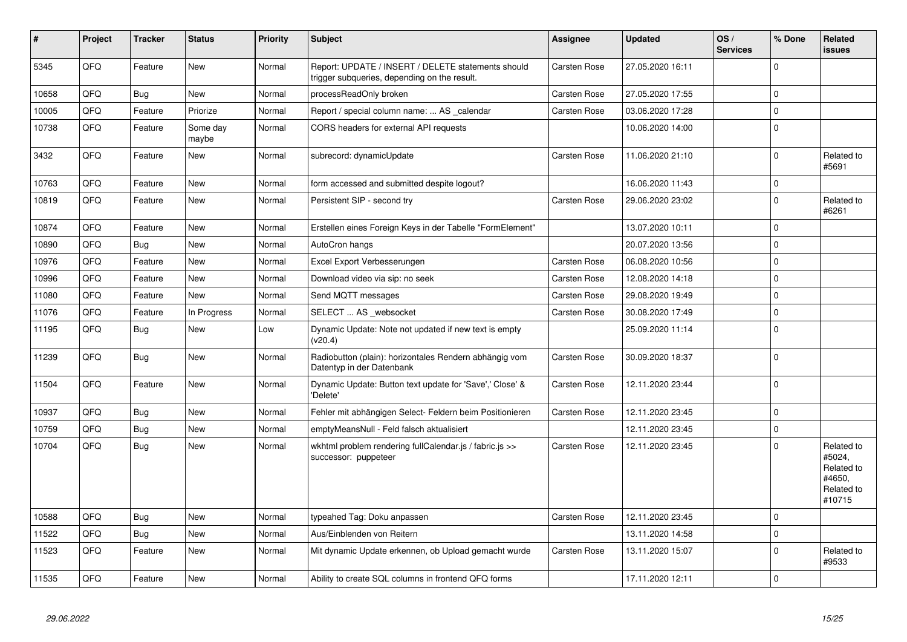| #     | <b>Project</b> | <b>Tracker</b> | <b>Status</b>     | <b>Priority</b> | <b>Subject</b>                                                                                     | Assignee            | <b>Updated</b>   | OS/<br><b>Services</b> | % Done      | Related<br>issues                                                    |
|-------|----------------|----------------|-------------------|-----------------|----------------------------------------------------------------------------------------------------|---------------------|------------------|------------------------|-------------|----------------------------------------------------------------------|
| 5345  | QFQ            | Feature        | New               | Normal          | Report: UPDATE / INSERT / DELETE statements should<br>trigger subqueries, depending on the result. | <b>Carsten Rose</b> | 27.05.2020 16:11 |                        | $\Omega$    |                                                                      |
| 10658 | QFQ            | Bug            | New               | Normal          | processReadOnly broken                                                                             | <b>Carsten Rose</b> | 27.05.2020 17:55 |                        | $\mathbf 0$ |                                                                      |
| 10005 | QFQ            | Feature        | Priorize          | Normal          | Report / special column name:  AS _calendar                                                        | Carsten Rose        | 03.06.2020 17:28 |                        | $\Omega$    |                                                                      |
| 10738 | QFQ            | Feature        | Some day<br>maybe | Normal          | CORS headers for external API requests                                                             |                     | 10.06.2020 14:00 |                        | $\mathbf 0$ |                                                                      |
| 3432  | QFQ            | Feature        | New               | Normal          | subrecord: dynamicUpdate                                                                           | Carsten Rose        | 11.06.2020 21:10 |                        | $\Omega$    | Related to<br>#5691                                                  |
| 10763 | QFQ            | Feature        | New               | Normal          | form accessed and submitted despite logout?                                                        |                     | 16.06.2020 11:43 |                        | $\mathbf 0$ |                                                                      |
| 10819 | QFQ            | Feature        | New               | Normal          | Persistent SIP - second try                                                                        | Carsten Rose        | 29.06.2020 23:02 |                        | $\Omega$    | Related to<br>#6261                                                  |
| 10874 | QFQ            | Feature        | <b>New</b>        | Normal          | Erstellen eines Foreign Keys in der Tabelle "FormElement"                                          |                     | 13.07.2020 10:11 |                        | $\Omega$    |                                                                      |
| 10890 | QFQ            | Bug            | New               | Normal          | AutoCron hangs                                                                                     |                     | 20.07.2020 13:56 |                        | $\Omega$    |                                                                      |
| 10976 | QFQ            | Feature        | New               | Normal          | Excel Export Verbesserungen                                                                        | Carsten Rose        | 06.08.2020 10:56 |                        | $\Omega$    |                                                                      |
| 10996 | QFQ            | Feature        | New               | Normal          | Download video via sip: no seek                                                                    | Carsten Rose        | 12.08.2020 14:18 |                        | $\mathbf 0$ |                                                                      |
| 11080 | QFQ            | Feature        | New               | Normal          | Send MQTT messages                                                                                 | <b>Carsten Rose</b> | 29.08.2020 19:49 |                        | $\Omega$    |                                                                      |
| 11076 | QFQ            | Feature        | In Progress       | Normal          | SELECT  AS _websocket                                                                              | Carsten Rose        | 30.08.2020 17:49 |                        | $\mathbf 0$ |                                                                      |
| 11195 | QFQ            | <b>Bug</b>     | <b>New</b>        | Low             | Dynamic Update: Note not updated if new text is empty<br>(v20.4)                                   |                     | 25.09.2020 11:14 |                        | $\Omega$    |                                                                      |
| 11239 | QFQ            | Bug            | New               | Normal          | Radiobutton (plain): horizontales Rendern abhängig vom<br>Datentyp in der Datenbank                | <b>Carsten Rose</b> | 30.09.2020 18:37 |                        | $\Omega$    |                                                                      |
| 11504 | QFQ            | Feature        | New               | Normal          | Dynamic Update: Button text update for 'Save',' Close' &<br>'Delete'                               | <b>Carsten Rose</b> | 12.11.2020 23:44 |                        | $\mathbf 0$ |                                                                      |
| 10937 | QFQ            | Bug            | New               | Normal          | Fehler mit abhängigen Select- Feldern beim Positionieren                                           | Carsten Rose        | 12.11.2020 23:45 |                        | $\Omega$    |                                                                      |
| 10759 | QFQ            | <b>Bug</b>     | New               | Normal          | emptyMeansNull - Feld falsch aktualisiert                                                          |                     | 12.11.2020 23:45 |                        | $\Omega$    |                                                                      |
| 10704 | QFQ            | Bug            | New               | Normal          | wkhtml problem rendering fullCalendar.js / fabric.js >><br>successor: puppeteer                    | <b>Carsten Rose</b> | 12.11.2020 23:45 |                        | $\Omega$    | Related to<br>#5024,<br>Related to<br>#4650,<br>Related to<br>#10715 |
| 10588 | QFQ            | Bug            | New               | Normal          | typeahed Tag: Doku anpassen                                                                        | <b>Carsten Rose</b> | 12.11.2020 23:45 |                        | $\Omega$    |                                                                      |
| 11522 | QFQ            | <b>Bug</b>     | <b>New</b>        | Normal          | Aus/Einblenden von Reitern                                                                         |                     | 13.11.2020 14:58 |                        | $\Omega$    |                                                                      |
| 11523 | QFQ            | Feature        | New               | Normal          | Mit dynamic Update erkennen, ob Upload gemacht wurde                                               | Carsten Rose        | 13.11.2020 15:07 |                        | $\Omega$    | Related to<br>#9533                                                  |
| 11535 | QFQ            | Feature        | New               | Normal          | Ability to create SQL columns in frontend QFQ forms                                                |                     | 17.11.2020 12:11 |                        | $\mathbf 0$ |                                                                      |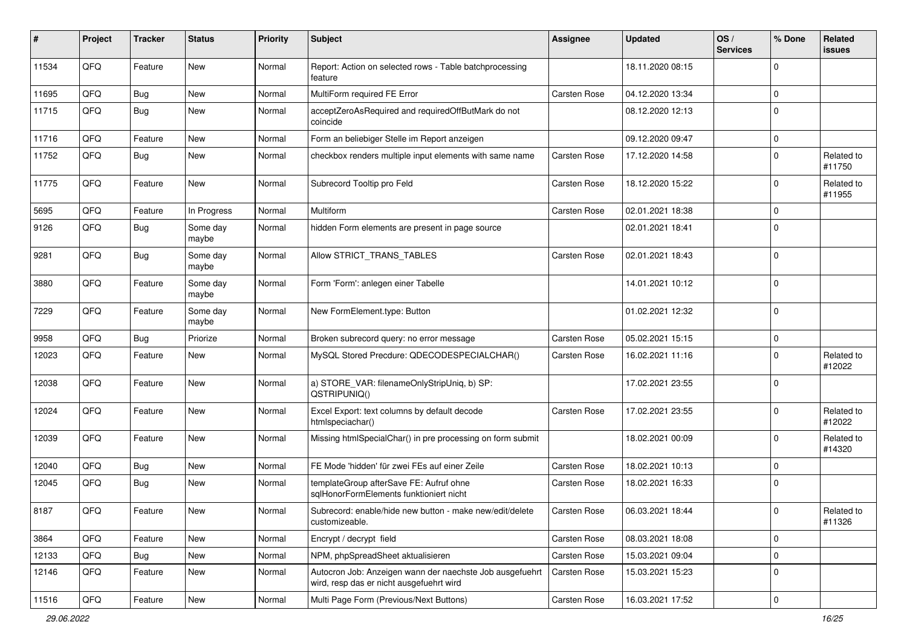| #     | Project | <b>Tracker</b> | <b>Status</b>     | <b>Priority</b> | Subject                                                                                              | <b>Assignee</b>     | <b>Updated</b>   | OS/<br><b>Services</b> | % Done              | Related<br>issues    |
|-------|---------|----------------|-------------------|-----------------|------------------------------------------------------------------------------------------------------|---------------------|------------------|------------------------|---------------------|----------------------|
| 11534 | QFQ     | Feature        | New               | Normal          | Report: Action on selected rows - Table batchprocessing<br>feature                                   |                     | 18.11.2020 08:15 |                        | $\mathbf 0$         |                      |
| 11695 | QFQ     | <b>Bug</b>     | New               | Normal          | MultiForm required FE Error                                                                          | Carsten Rose        | 04.12.2020 13:34 |                        | 0                   |                      |
| 11715 | QFQ     | <b>Bug</b>     | New               | Normal          | acceptZeroAsRequired and requiredOffButMark do not<br>coincide                                       |                     | 08.12.2020 12:13 |                        | 0                   |                      |
| 11716 | QFQ     | Feature        | <b>New</b>        | Normal          | Form an beliebiger Stelle im Report anzeigen                                                         |                     | 09.12.2020 09:47 |                        | $\mathbf 0$         |                      |
| 11752 | QFQ     | Bug            | New               | Normal          | checkbox renders multiple input elements with same name                                              | <b>Carsten Rose</b> | 17.12.2020 14:58 |                        | 0                   | Related to<br>#11750 |
| 11775 | QFQ     | Feature        | New               | Normal          | Subrecord Tooltip pro Feld                                                                           | <b>Carsten Rose</b> | 18.12.2020 15:22 |                        | $\mathbf 0$         | Related to<br>#11955 |
| 5695  | QFQ     | Feature        | In Progress       | Normal          | Multiform                                                                                            | Carsten Rose        | 02.01.2021 18:38 |                        | $\mathbf 0$         |                      |
| 9126  | QFQ     | Bug            | Some day<br>maybe | Normal          | hidden Form elements are present in page source                                                      |                     | 02.01.2021 18:41 |                        | 0                   |                      |
| 9281  | QFQ     | Bug            | Some day<br>maybe | Normal          | Allow STRICT_TRANS_TABLES                                                                            | <b>Carsten Rose</b> | 02.01.2021 18:43 |                        | 0                   |                      |
| 3880  | QFQ     | Feature        | Some day<br>maybe | Normal          | Form 'Form': anlegen einer Tabelle                                                                   |                     | 14.01.2021 10:12 |                        | 0                   |                      |
| 7229  | QFQ     | Feature        | Some day<br>maybe | Normal          | New FormElement.type: Button                                                                         |                     | 01.02.2021 12:32 |                        | 0                   |                      |
| 9958  | QFQ     | Bug            | Priorize          | Normal          | Broken subrecord query: no error message                                                             | <b>Carsten Rose</b> | 05.02.2021 15:15 |                        | 0                   |                      |
| 12023 | QFQ     | Feature        | New               | Normal          | MySQL Stored Precdure: QDECODESPECIALCHAR()                                                          | Carsten Rose        | 16.02.2021 11:16 |                        | 0                   | Related to<br>#12022 |
| 12038 | QFQ     | Feature        | New               | Normal          | a) STORE_VAR: filenameOnlyStripUniq, b) SP:<br>QSTRIPUNIQ()                                          |                     | 17.02.2021 23:55 |                        | 0                   |                      |
| 12024 | QFQ     | Feature        | New               | Normal          | Excel Export: text columns by default decode<br>htmlspeciachar()                                     | <b>Carsten Rose</b> | 17.02.2021 23:55 |                        | $\mathbf 0$         | Related to<br>#12022 |
| 12039 | QFQ     | Feature        | New               | Normal          | Missing htmlSpecialChar() in pre processing on form submit                                           |                     | 18.02.2021 00:09 |                        | 0                   | Related to<br>#14320 |
| 12040 | QFQ     | <b>Bug</b>     | New               | Normal          | FE Mode 'hidden' für zwei FEs auf einer Zeile                                                        | Carsten Rose        | 18.02.2021 10:13 |                        | $\mathbf 0$         |                      |
| 12045 | QFQ     | Bug            | New               | Normal          | templateGroup afterSave FE: Aufruf ohne<br>sqlHonorFormElements funktioniert nicht                   | Carsten Rose        | 18.02.2021 16:33 |                        | 0                   |                      |
| 8187  | QFQ     | Feature        | New               | Normal          | Subrecord: enable/hide new button - make new/edit/delete<br>customizeable.                           | Carsten Rose        | 06.03.2021 18:44 |                        | $\mathbf 0$         | Related to<br>#11326 |
| 3864  | QFQ     | Feature        | New               | Normal          | Encrypt / decrypt field                                                                              | Carsten Rose        | 08.03.2021 18:08 |                        | 0                   |                      |
| 12133 | QFQ     | <b>Bug</b>     | New               | Normal          | NPM, phpSpreadSheet aktualisieren                                                                    | Carsten Rose        | 15.03.2021 09:04 |                        | 0                   |                      |
| 12146 | QFQ     | Feature        | New               | Normal          | Autocron Job: Anzeigen wann der naechste Job ausgefuehrt<br>wird, resp das er nicht ausgefuehrt wird | Carsten Rose        | 15.03.2021 15:23 |                        | 0                   |                      |
| 11516 | QFG     | Feature        | New               | Normal          | Multi Page Form (Previous/Next Buttons)                                                              | Carsten Rose        | 16.03.2021 17:52 |                        | $\mathsf{O}\xspace$ |                      |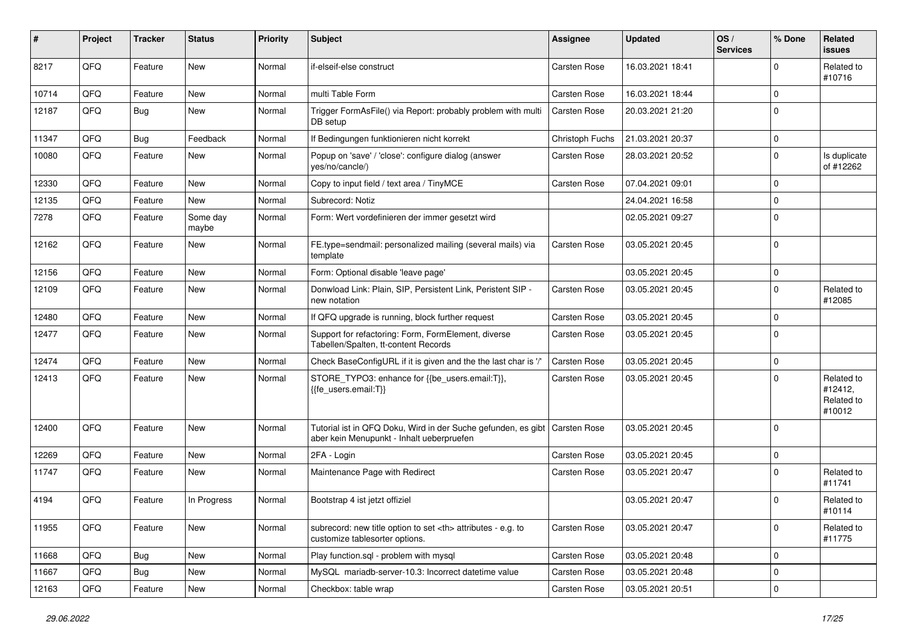| #     | Project | <b>Tracker</b> | <b>Status</b>     | <b>Priority</b> | <b>Subject</b>                                                                                             | <b>Assignee</b>                                        | <b>Updated</b>   | OS/<br><b>Services</b> | % Done      | Related<br>issues                             |                      |
|-------|---------|----------------|-------------------|-----------------|------------------------------------------------------------------------------------------------------------|--------------------------------------------------------|------------------|------------------------|-------------|-----------------------------------------------|----------------------|
| 8217  | QFQ     | Feature        | <b>New</b>        | Normal          | if-elseif-else construct                                                                                   | Carsten Rose                                           | 16.03.2021 18:41 |                        | $\Omega$    | Related to<br>#10716                          |                      |
| 10714 | QFQ     | Feature        | New               | Normal          | multi Table Form                                                                                           | Carsten Rose                                           | 16.03.2021 18:44 |                        | $\mathbf 0$ |                                               |                      |
| 12187 | QFQ     | <b>Bug</b>     | New               | Normal          | Trigger FormAsFile() via Report: probably problem with multi<br>DB setup                                   | Carsten Rose                                           | 20.03.2021 21:20 |                        | $\Omega$    |                                               |                      |
| 11347 | QFQ     | Bug            | Feedback          | Normal          | If Bedingungen funktionieren nicht korrekt                                                                 | Christoph Fuchs                                        | 21.03.2021 20:37 |                        | $\mathbf 0$ |                                               |                      |
| 10080 | QFQ     | Feature        | New               | Normal          | Popup on 'save' / 'close': configure dialog (answer<br>yes/no/cancle/)                                     | Carsten Rose                                           | 28.03.2021 20:52 |                        | $\mathbf 0$ | Is duplicate<br>of #12262                     |                      |
| 12330 | QFQ     | Feature        | <b>New</b>        | Normal          | Copy to input field / text area / TinyMCE                                                                  | Carsten Rose                                           | 07.04.2021 09:01 |                        | $\mathbf 0$ |                                               |                      |
| 12135 | QFQ     | Feature        | New               | Normal          | Subrecord: Notiz                                                                                           |                                                        | 24.04.2021 16:58 |                        | $\mathbf 0$ |                                               |                      |
| 7278  | QFQ     | Feature        | Some day<br>maybe | Normal          | Form: Wert vordefinieren der immer gesetzt wird                                                            |                                                        | 02.05.2021 09:27 |                        | $\Omega$    |                                               |                      |
| 12162 | QFQ     | Feature        | New               | Normal          | FE.type=sendmail: personalized mailing (several mails) via<br>template                                     | Carsten Rose                                           | 03.05.2021 20:45 |                        | $\Omega$    |                                               |                      |
| 12156 | QFQ     | Feature        | <b>New</b>        | Normal          | Form: Optional disable 'leave page'                                                                        |                                                        | 03.05.2021 20:45 |                        | $\mathbf 0$ |                                               |                      |
| 12109 | QFQ     | Feature        | New               | Normal          | Donwload Link: Plain, SIP, Persistent Link, Peristent SIP -<br>new notation                                | <b>Carsten Rose</b>                                    | 03.05.2021 20:45 |                        | $\Omega$    | Related to<br>#12085                          |                      |
| 12480 | QFQ     | Feature        | <b>New</b>        | Normal          | If QFQ upgrade is running, block further request                                                           | Carsten Rose                                           | 03.05.2021 20:45 |                        | $\mathbf 0$ |                                               |                      |
| 12477 | QFQ     | Feature        | New               | Normal          | Support for refactoring: Form, FormElement, diverse<br>Tabellen/Spalten, tt-content Records                | Carsten Rose                                           | 03.05.2021 20:45 |                        | $\Omega$    |                                               |                      |
| 12474 | QFQ     | Feature        | <b>New</b>        | Normal          | Check BaseConfigURL if it is given and the the last char is '/'                                            | Carsten Rose                                           | 03.05.2021 20:45 |                        | $\mathbf 0$ |                                               |                      |
| 12413 | QFQ     | Feature        | <b>New</b>        | Normal          | STORE_TYPO3: enhance for {{be_users.email:T}},<br>{{fe_users.email:T}}                                     | Carsten Rose                                           | 03.05.2021 20:45 |                        | $\Omega$    | Related to<br>#12412,<br>Related to<br>#10012 |                      |
| 12400 | QFQ     | Feature        | <b>New</b>        | Normal          | Tutorial ist in QFQ Doku, Wird in der Suche gefunden, es gibt<br>aber kein Menupunkt - Inhalt ueberpruefen | <b>Carsten Rose</b>                                    | 03.05.2021 20:45 |                        | $\mathbf 0$ |                                               |                      |
| 12269 | QFQ     | Feature        | <b>New</b>        | Normal          | 2FA - Login                                                                                                | Carsten Rose                                           | 03.05.2021 20:45 |                        | $\mathbf 0$ |                                               |                      |
| 11747 | QFQ     | Feature        | New               | Normal          | Maintenance Page with Redirect                                                                             | Carsten Rose                                           | 03.05.2021 20:47 |                        | 0           | Related to<br>#11741                          |                      |
| 4194  | QFQ     | Feature        | In Progress       | Normal          | Bootstrap 4 ist jetzt offiziel                                                                             |                                                        | 03.05.2021 20:47 |                        | $\mathbf 0$ | Related to<br>#10114                          |                      |
| 11955 | QFQ     | Feature        | New               | Normal          | subrecord: new title option to set <th> attributes - e.g. to<br/>customize tablesorter options.</th>       | attributes - e.g. to<br>customize tablesorter options. | Carsten Rose     | 03.05.2021 20:47       |             | $\mathbf 0$                                   | Related to<br>#11775 |
| 11668 | QFQ     | Bug            | New               | Normal          | Play function.sql - problem with mysql                                                                     | Carsten Rose                                           | 03.05.2021 20:48 |                        | 0           |                                               |                      |
| 11667 | QFQ     | <b>Bug</b>     | New               | Normal          | MySQL mariadb-server-10.3: Incorrect datetime value                                                        | Carsten Rose                                           | 03.05.2021 20:48 |                        | $\mathbf 0$ |                                               |                      |
| 12163 | QFQ     | Feature        | New               | Normal          | Checkbox: table wrap                                                                                       | Carsten Rose                                           | 03.05.2021 20:51 |                        | $\mathbf 0$ |                                               |                      |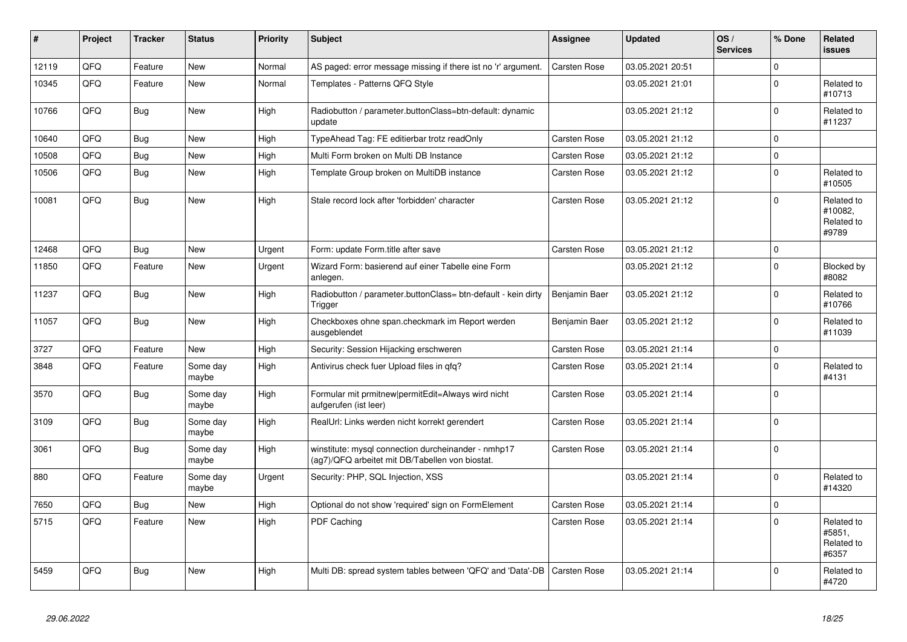| ∦     | Project | <b>Tracker</b> | <b>Status</b>     | Priority | <b>Subject</b>                                                                                         | Assignee            | <b>Updated</b>   | OS/<br><b>Services</b> | % Done      | Related<br><b>issues</b>                     |
|-------|---------|----------------|-------------------|----------|--------------------------------------------------------------------------------------------------------|---------------------|------------------|------------------------|-------------|----------------------------------------------|
| 12119 | QFQ     | Feature        | <b>New</b>        | Normal   | AS paged: error message missing if there ist no 'r' argument.                                          | <b>Carsten Rose</b> | 03.05.2021 20:51 |                        | $\Omega$    |                                              |
| 10345 | QFQ     | Feature        | New               | Normal   | Templates - Patterns QFQ Style                                                                         |                     | 03.05.2021 21:01 |                        | $\Omega$    | Related to<br>#10713                         |
| 10766 | QFQ     | Bug            | New               | High     | Radiobutton / parameter.buttonClass=btn-default: dynamic<br>update                                     |                     | 03.05.2021 21:12 |                        | $\Omega$    | Related to<br>#11237                         |
| 10640 | QFQ     | Bug            | <b>New</b>        | High     | TypeAhead Tag: FE editierbar trotz readOnly                                                            | <b>Carsten Rose</b> | 03.05.2021 21:12 |                        | $\mathbf 0$ |                                              |
| 10508 | QFQ     | <b>Bug</b>     | <b>New</b>        | High     | Multi Form broken on Multi DB Instance                                                                 | Carsten Rose        | 03.05.2021 21:12 |                        | l o         |                                              |
| 10506 | QFQ     | <b>Bug</b>     | <b>New</b>        | High     | Template Group broken on MultiDB instance                                                              | Carsten Rose        | 03.05.2021 21:12 |                        | $\Omega$    | Related to<br>#10505                         |
| 10081 | QFQ     | <b>Bug</b>     | New               | High     | Stale record lock after 'forbidden' character                                                          | <b>Carsten Rose</b> | 03.05.2021 21:12 |                        | $\Omega$    | Related to<br>#10082,<br>Related to<br>#9789 |
| 12468 | QFQ     | <b>Bug</b>     | <b>New</b>        | Urgent   | Form: update Form.title after save                                                                     | <b>Carsten Rose</b> | 03.05.2021 21:12 |                        | l O         |                                              |
| 11850 | QFQ     | Feature        | <b>New</b>        | Urgent   | Wizard Form: basierend auf einer Tabelle eine Form<br>anlegen.                                         |                     | 03.05.2021 21:12 |                        | $\Omega$    | Blocked by<br>#8082                          |
| 11237 | QFQ     | <b>Bug</b>     | <b>New</b>        | High     | Radiobutton / parameter.buttonClass= btn-default - kein dirty<br>Trigger                               | Benjamin Baer       | 03.05.2021 21:12 |                        | $\Omega$    | Related to<br>#10766                         |
| 11057 | QFQ     | Bug            | New               | High     | Checkboxes ohne span.checkmark im Report werden<br>ausgeblendet                                        | Benjamin Baer       | 03.05.2021 21:12 |                        | $\Omega$    | Related to<br>#11039                         |
| 3727  | QFQ     | Feature        | New               | High     | Security: Session Hijacking erschweren                                                                 | Carsten Rose        | 03.05.2021 21:14 |                        | $\mathbf 0$ |                                              |
| 3848  | QFQ     | Feature        | Some day<br>maybe | High     | Antivirus check fuer Upload files in qfq?                                                              | Carsten Rose        | 03.05.2021 21:14 |                        | $\Omega$    | Related to<br>#4131                          |
| 3570  | QFQ     | <b>Bug</b>     | Some day<br>maybe | High     | Formular mit prmitnew   permitEdit=Always wird nicht<br>aufgerufen (ist leer)                          | Carsten Rose        | 03.05.2021 21:14 |                        | $\Omega$    |                                              |
| 3109  | QFQ     | <b>Bug</b>     | Some day<br>maybe | High     | RealUrl: Links werden nicht korrekt gerendert                                                          | Carsten Rose        | 03.05.2021 21:14 |                        | l O         |                                              |
| 3061  | QFQ     | Bug            | Some day<br>maybe | High     | winstitute: mysql connection durcheinander - nmhp17<br>(ag7)/QFQ arbeitet mit DB/Tabellen von biostat. | Carsten Rose        | 03.05.2021 21:14 |                        | $\Omega$    |                                              |
| 880   | QFQ     | Feature        | Some day<br>maybe | Urgent   | Security: PHP, SQL Injection, XSS                                                                      |                     | 03.05.2021 21:14 |                        | $\Omega$    | Related to<br>#14320                         |
| 7650  | QFQ     | Bug            | New               | High     | Optional do not show 'required' sign on FormElement                                                    | <b>Carsten Rose</b> | 03.05.2021 21:14 |                        | $\mathbf 0$ |                                              |
| 5715  | QFQ     | Feature        | New               | High     | PDF Caching                                                                                            | Carsten Rose        | 03.05.2021 21:14 |                        | $\Omega$    | Related to<br>#5851,<br>Related to<br>#6357  |
| 5459  | QFQ     | Bug            | New               | High     | Multi DB: spread system tables between 'QFQ' and 'Data'-DB                                             | <b>Carsten Rose</b> | 03.05.2021 21:14 |                        | $\Omega$    | Related to<br>#4720                          |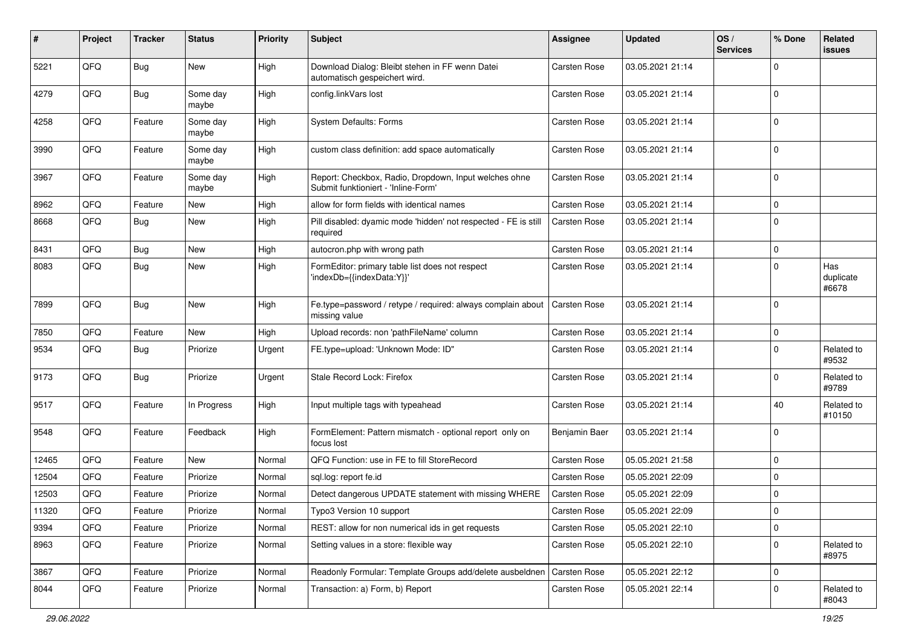| #     | Project | <b>Tracker</b> | <b>Status</b>     | <b>Priority</b> | <b>Subject</b>                                                                               | <b>Assignee</b>     | <b>Updated</b>   | OS/<br><b>Services</b> | % Done      | Related<br>issues         |
|-------|---------|----------------|-------------------|-----------------|----------------------------------------------------------------------------------------------|---------------------|------------------|------------------------|-------------|---------------------------|
| 5221  | QFQ     | Bug            | New               | High            | Download Dialog: Bleibt stehen in FF wenn Datei<br>automatisch gespeichert wird.             | <b>Carsten Rose</b> | 03.05.2021 21:14 |                        | 0           |                           |
| 4279  | QFQ     | <b>Bug</b>     | Some day<br>maybe | High            | config.linkVars lost                                                                         | <b>Carsten Rose</b> | 03.05.2021 21:14 |                        | $\mathbf 0$ |                           |
| 4258  | QFQ     | Feature        | Some day<br>maybe | High            | <b>System Defaults: Forms</b>                                                                | Carsten Rose        | 03.05.2021 21:14 |                        | $\mathbf 0$ |                           |
| 3990  | QFQ     | Feature        | Some day<br>maybe | High            | custom class definition: add space automatically                                             | Carsten Rose        | 03.05.2021 21:14 |                        | $\mathbf 0$ |                           |
| 3967  | QFQ     | Feature        | Some day<br>maybe | High            | Report: Checkbox, Radio, Dropdown, Input welches ohne<br>Submit funktioniert - 'Inline-Form' | <b>Carsten Rose</b> | 03.05.2021 21:14 |                        | $\mathbf 0$ |                           |
| 8962  | QFQ     | Feature        | New               | High            | allow for form fields with identical names                                                   | <b>Carsten Rose</b> | 03.05.2021 21:14 |                        | $\mathbf 0$ |                           |
| 8668  | QFQ     | Bug            | New               | High            | Pill disabled: dyamic mode 'hidden' not respected - FE is still<br>required                  | Carsten Rose        | 03.05.2021 21:14 |                        | 0           |                           |
| 8431  | QFQ     | <b>Bug</b>     | New               | High            | autocron.php with wrong path                                                                 | <b>Carsten Rose</b> | 03.05.2021 21:14 |                        | 0           |                           |
| 8083  | QFQ     | <b>Bug</b>     | New               | High            | FormEditor: primary table list does not respect<br>'indexDb={{indexData:Y}}'                 | Carsten Rose        | 03.05.2021 21:14 |                        | $\Omega$    | Has<br>duplicate<br>#6678 |
| 7899  | QFQ     | <b>Bug</b>     | New               | High            | Fe.type=password / retype / required: always complain about<br>missing value                 | <b>Carsten Rose</b> | 03.05.2021 21:14 |                        | $\Omega$    |                           |
| 7850  | QFQ     | Feature        | New               | High            | Upload records: non 'pathFileName' column                                                    | <b>Carsten Rose</b> | 03.05.2021 21:14 |                        | $\mathbf 0$ |                           |
| 9534  | QFQ     | Bug            | Priorize          | Urgent          | FE.type=upload: 'Unknown Mode: ID"                                                           | Carsten Rose        | 03.05.2021 21:14 |                        | $\mathbf 0$ | Related to<br>#9532       |
| 9173  | QFQ     | Bug            | Priorize          | Urgent          | Stale Record Lock: Firefox                                                                   | Carsten Rose        | 03.05.2021 21:14 |                        | 0           | Related to<br>#9789       |
| 9517  | QFQ     | Feature        | In Progress       | High            | Input multiple tags with typeahead                                                           | <b>Carsten Rose</b> | 03.05.2021 21:14 |                        | 40          | Related to<br>#10150      |
| 9548  | QFQ     | Feature        | Feedback          | High            | FormElement: Pattern mismatch - optional report only on<br>focus lost                        | Benjamin Baer       | 03.05.2021 21:14 |                        | $\Omega$    |                           |
| 12465 | QFQ     | Feature        | <b>New</b>        | Normal          | QFQ Function: use in FE to fill StoreRecord                                                  | <b>Carsten Rose</b> | 05.05.2021 21:58 |                        | $\mathbf 0$ |                           |
| 12504 | QFQ     | Feature        | Priorize          | Normal          | sql.log: report fe.id                                                                        | <b>Carsten Rose</b> | 05.05.2021 22:09 |                        | $\mathbf 0$ |                           |
| 12503 | QFQ     | Feature        | Priorize          | Normal          | Detect dangerous UPDATE statement with missing WHERE                                         | <b>Carsten Rose</b> | 05.05.2021 22:09 |                        | $\mathbf 0$ |                           |
| 11320 | QFQ     | Feature        | Priorize          | Normal          | Typo3 Version 10 support                                                                     | Carsten Rose        | 05.05.2021 22:09 |                        | $\Omega$    |                           |
| 9394  | QFQ     | Feature        | Priorize          | Normal          | REST: allow for non numerical ids in get requests                                            | Carsten Rose        | 05.05.2021 22:10 |                        | $\mathbf 0$ |                           |
| 8963  | QFQ     | Feature        | Priorize          | Normal          | Setting values in a store: flexible way                                                      | Carsten Rose        | 05.05.2021 22:10 |                        | $\mathbf 0$ | Related to<br>#8975       |
| 3867  | QFQ     | Feature        | Priorize          | Normal          | Readonly Formular: Template Groups add/delete ausbeldnen                                     | Carsten Rose        | 05.05.2021 22:12 |                        | $\mathbf 0$ |                           |
| 8044  | QFQ     | Feature        | Priorize          | Normal          | Transaction: a) Form, b) Report                                                              | Carsten Rose        | 05.05.2021 22:14 |                        | 0           | Related to<br>#8043       |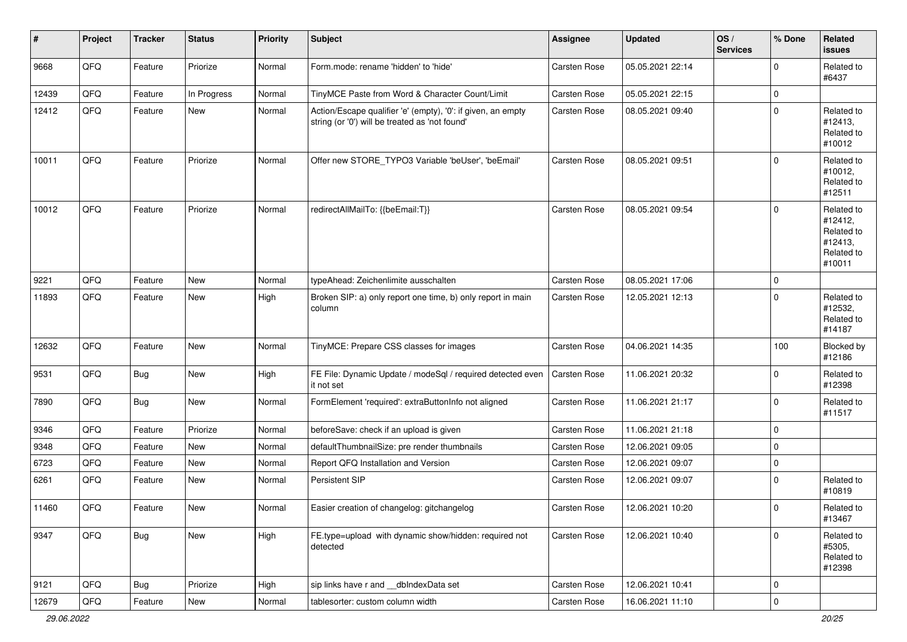| $\vert$ # | Project | <b>Tracker</b> | <b>Status</b> | <b>Priority</b> | <b>Subject</b>                                                                                                 | <b>Assignee</b>     | <b>Updated</b>   | OS/<br><b>Services</b> | % Done      | Related<br><b>issues</b>                                               |
|-----------|---------|----------------|---------------|-----------------|----------------------------------------------------------------------------------------------------------------|---------------------|------------------|------------------------|-------------|------------------------------------------------------------------------|
| 9668      | QFQ     | Feature        | Priorize      | Normal          | Form.mode: rename 'hidden' to 'hide'                                                                           | <b>Carsten Rose</b> | 05.05.2021 22:14 |                        | $\Omega$    | Related to<br>#6437                                                    |
| 12439     | QFQ     | Feature        | In Progress   | Normal          | TinyMCE Paste from Word & Character Count/Limit                                                                | Carsten Rose        | 05.05.2021 22:15 |                        | $\mathbf 0$ |                                                                        |
| 12412     | QFQ     | Feature        | New           | Normal          | Action/Escape qualifier 'e' (empty), '0': if given, an empty<br>string (or '0') will be treated as 'not found' | Carsten Rose        | 08.05.2021 09:40 |                        | $\Omega$    | Related to<br>#12413,<br>Related to<br>#10012                          |
| 10011     | QFQ     | Feature        | Priorize      | Normal          | Offer new STORE_TYPO3 Variable 'beUser', 'beEmail'                                                             | <b>Carsten Rose</b> | 08.05.2021 09:51 |                        | $\Omega$    | Related to<br>#10012,<br>Related to<br>#12511                          |
| 10012     | QFQ     | Feature        | Priorize      | Normal          | redirectAllMailTo: {{beEmail:T}}                                                                               | <b>Carsten Rose</b> | 08.05.2021 09:54 |                        | $\Omega$    | Related to<br>#12412,<br>Related to<br>#12413,<br>Related to<br>#10011 |
| 9221      | QFQ     | Feature        | New           | Normal          | typeAhead: Zeichenlimite ausschalten                                                                           | <b>Carsten Rose</b> | 08.05.2021 17:06 |                        | $\mathbf 0$ |                                                                        |
| 11893     | QFQ     | Feature        | New           | High            | Broken SIP: a) only report one time, b) only report in main<br>column                                          | Carsten Rose        | 12.05.2021 12:13 |                        | $\Omega$    | Related to<br>#12532,<br>Related to<br>#14187                          |
| 12632     | QFQ     | Feature        | New           | Normal          | TinyMCE: Prepare CSS classes for images                                                                        | Carsten Rose        | 04.06.2021 14:35 |                        | 100         | Blocked by<br>#12186                                                   |
| 9531      | QFQ     | Bug            | New           | High            | FE File: Dynamic Update / modeSql / required detected even<br>it not set                                       | Carsten Rose        | 11.06.2021 20:32 |                        | $\Omega$    | Related to<br>#12398                                                   |
| 7890      | QFQ     | <b>Bug</b>     | New           | Normal          | FormElement 'required': extraButtonInfo not aligned                                                            | Carsten Rose        | 11.06.2021 21:17 |                        | $\mathbf 0$ | Related to<br>#11517                                                   |
| 9346      | QFQ     | Feature        | Priorize      | Normal          | beforeSave: check if an upload is given                                                                        | <b>Carsten Rose</b> | 11.06.2021 21:18 |                        | $\mathbf 0$ |                                                                        |
| 9348      | QFQ     | Feature        | New           | Normal          | defaultThumbnailSize: pre render thumbnails                                                                    | <b>Carsten Rose</b> | 12.06.2021 09:05 |                        | $\mathbf 0$ |                                                                        |
| 6723      | QFQ     | Feature        | New           | Normal          | Report QFQ Installation and Version                                                                            | Carsten Rose        | 12.06.2021 09:07 |                        | $\mathbf 0$ |                                                                        |
| 6261      | QFQ     | Feature        | New           | Normal          | Persistent SIP                                                                                                 | Carsten Rose        | 12.06.2021 09:07 |                        | $\Omega$    | Related to<br>#10819                                                   |
| 11460     | QFQ     | Feature        | New           | Normal          | Easier creation of changelog: gitchangelog                                                                     | Carsten Rose        | 12.06.2021 10:20 |                        | l 0         | Related to<br>#13467                                                   |
| 9347      | QFG     | <b>Bug</b>     | New           | High            | FE.type=upload with dynamic show/hidden: required not<br>detected                                              | Carsten Rose        | 12.06.2021 10:40 |                        | $\Omega$    | Related to<br>#5305,<br>Related to<br>#12398                           |
| 9121      | QFG     | <b>Bug</b>     | Priorize      | High            | sip links have r and __dbIndexData set                                                                         | Carsten Rose        | 12.06.2021 10:41 |                        | l 0         |                                                                        |
| 12679     | QFQ     | Feature        | New           | Normal          | tablesorter: custom column width                                                                               | Carsten Rose        | 16.06.2021 11:10 |                        | 0           |                                                                        |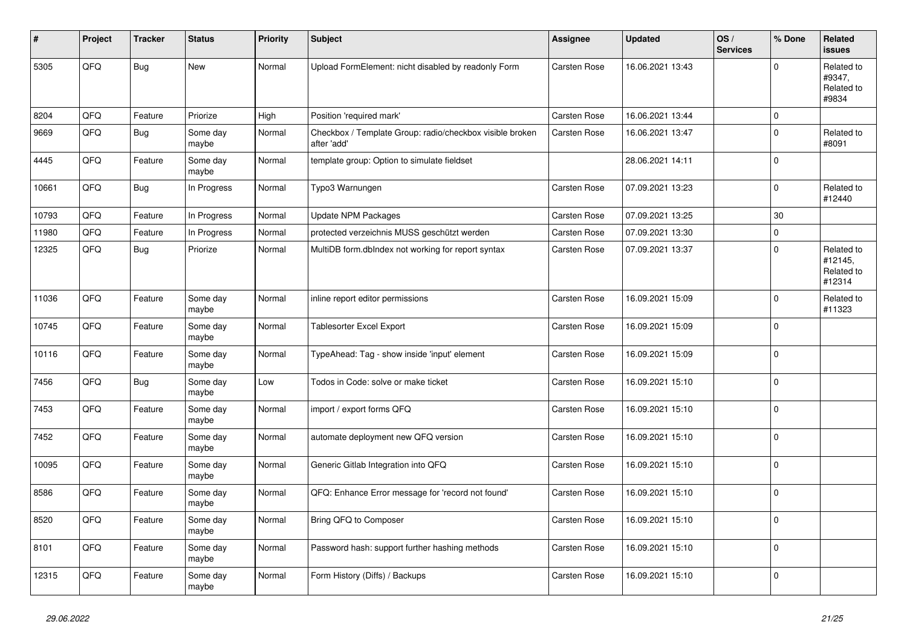| #     | Project | <b>Tracker</b> | <b>Status</b>     | <b>Priority</b> | <b>Subject</b>                                                          | Assignee            | <b>Updated</b>   | OS/<br><b>Services</b> | % Done      | Related<br>issues                             |
|-------|---------|----------------|-------------------|-----------------|-------------------------------------------------------------------------|---------------------|------------------|------------------------|-------------|-----------------------------------------------|
| 5305  | QFQ     | <b>Bug</b>     | <b>New</b>        | Normal          | Upload FormElement: nicht disabled by readonly Form                     | <b>Carsten Rose</b> | 16.06.2021 13:43 |                        | $\Omega$    | Related to<br>#9347,<br>Related to<br>#9834   |
| 8204  | QFQ     | Feature        | Priorize          | High            | Position 'required mark'                                                | Carsten Rose        | 16.06.2021 13:44 |                        | 0           |                                               |
| 9669  | QFQ     | Bug            | Some day<br>maybe | Normal          | Checkbox / Template Group: radio/checkbox visible broken<br>after 'add' | Carsten Rose        | 16.06.2021 13:47 |                        | $\Omega$    | Related to<br>#8091                           |
| 4445  | QFQ     | Feature        | Some day<br>maybe | Normal          | template group: Option to simulate fieldset                             |                     | 28.06.2021 14:11 |                        | 0           |                                               |
| 10661 | QFQ     | <b>Bug</b>     | In Progress       | Normal          | Typo3 Warnungen                                                         | Carsten Rose        | 07.09.2021 13:23 |                        | $\Omega$    | Related to<br>#12440                          |
| 10793 | QFQ     | Feature        | In Progress       | Normal          | <b>Update NPM Packages</b>                                              | <b>Carsten Rose</b> | 07.09.2021 13:25 |                        | 30          |                                               |
| 11980 | QFQ     | Feature        | In Progress       | Normal          | protected verzeichnis MUSS geschützt werden                             | Carsten Rose        | 07.09.2021 13:30 |                        | $\Omega$    |                                               |
| 12325 | QFQ     | Bug            | Priorize          | Normal          | MultiDB form.dblndex not working for report syntax                      | Carsten Rose        | 07.09.2021 13:37 |                        | $\Omega$    | Related to<br>#12145,<br>Related to<br>#12314 |
| 11036 | QFQ     | Feature        | Some day<br>maybe | Normal          | inline report editor permissions                                        | Carsten Rose        | 16.09.2021 15:09 |                        | $\Omega$    | Related to<br>#11323                          |
| 10745 | QFQ     | Feature        | Some day<br>maybe | Normal          | <b>Tablesorter Excel Export</b>                                         | Carsten Rose        | 16.09.2021 15:09 |                        | 0           |                                               |
| 10116 | QFQ     | Feature        | Some day<br>maybe | Normal          | TypeAhead: Tag - show inside 'input' element                            | Carsten Rose        | 16.09.2021 15:09 |                        | $\Omega$    |                                               |
| 7456  | QFQ     | <b>Bug</b>     | Some day<br>maybe | Low             | Todos in Code: solve or make ticket                                     | Carsten Rose        | 16.09.2021 15:10 |                        | $\Omega$    |                                               |
| 7453  | QFQ     | Feature        | Some day<br>maybe | Normal          | import / export forms QFQ                                               | <b>Carsten Rose</b> | 16.09.2021 15:10 |                        | 0           |                                               |
| 7452  | QFQ     | Feature        | Some day<br>maybe | Normal          | automate deployment new QFQ version                                     | Carsten Rose        | 16.09.2021 15:10 |                        | $\mathbf 0$ |                                               |
| 10095 | QFQ     | Feature        | Some day<br>maybe | Normal          | Generic Gitlab Integration into QFQ                                     | Carsten Rose        | 16.09.2021 15:10 |                        | 0 I         |                                               |
| 8586  | QFQ     | Feature        | Some day<br>maybe | Normal          | QFQ: Enhance Error message for 'record not found'                       | <b>Carsten Rose</b> | 16.09.2021 15:10 |                        | $\Omega$    |                                               |
| 8520  | QFQ     | Feature        | Some day<br>maybe | Normal          | Bring QFQ to Composer                                                   | <b>Carsten Rose</b> | 16.09.2021 15:10 |                        | $\Omega$    |                                               |
| 8101  | QFQ     | Feature        | Some day<br>maybe | Normal          | Password hash: support further hashing methods                          | Carsten Rose        | 16.09.2021 15:10 |                        | $\Omega$    |                                               |
| 12315 | QFQ     | Feature        | Some day<br>maybe | Normal          | Form History (Diffs) / Backups                                          | Carsten Rose        | 16.09.2021 15:10 |                        | $\Omega$    |                                               |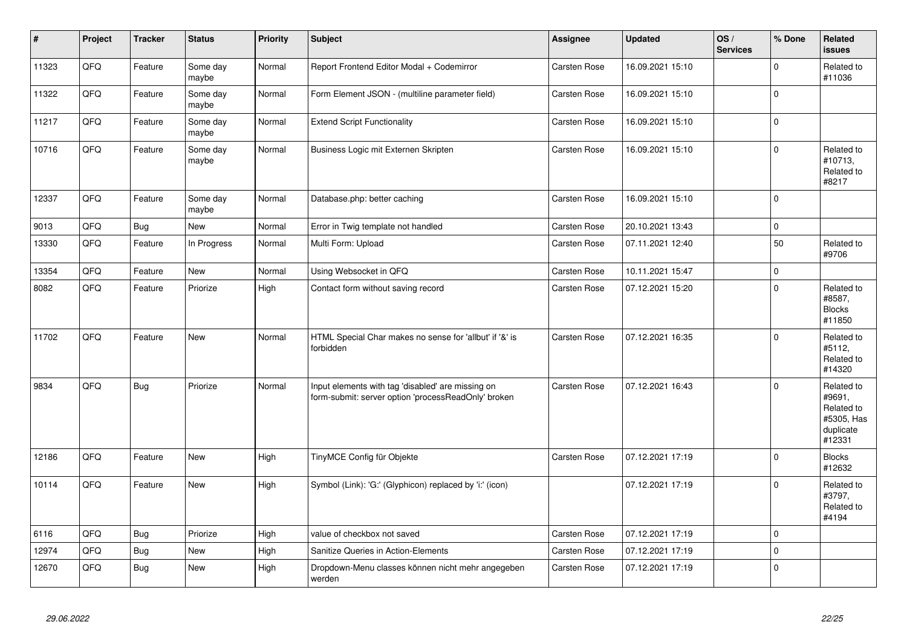| #     | Project | <b>Tracker</b> | <b>Status</b>     | <b>Priority</b> | <b>Subject</b>                                                                                           | Assignee            | <b>Updated</b>   | OS/<br><b>Services</b> | % Done   | Related<br><b>issues</b>                                                |
|-------|---------|----------------|-------------------|-----------------|----------------------------------------------------------------------------------------------------------|---------------------|------------------|------------------------|----------|-------------------------------------------------------------------------|
| 11323 | QFQ     | Feature        | Some day<br>maybe | Normal          | Report Frontend Editor Modal + Codemirror                                                                | <b>Carsten Rose</b> | 16.09.2021 15:10 |                        | $\Omega$ | Related to<br>#11036                                                    |
| 11322 | QFQ     | Feature        | Some day<br>maybe | Normal          | Form Element JSON - (multiline parameter field)                                                          | Carsten Rose        | 16.09.2021 15:10 |                        | $\Omega$ |                                                                         |
| 11217 | QFQ     | Feature        | Some day<br>maybe | Normal          | <b>Extend Script Functionality</b>                                                                       | <b>Carsten Rose</b> | 16.09.2021 15:10 |                        | $\Omega$ |                                                                         |
| 10716 | QFQ     | Feature        | Some day<br>maybe | Normal          | Business Logic mit Externen Skripten                                                                     | Carsten Rose        | 16.09.2021 15:10 |                        | $\Omega$ | Related to<br>#10713,<br>Related to<br>#8217                            |
| 12337 | QFQ     | Feature        | Some day<br>maybe | Normal          | Database.php: better caching                                                                             | <b>Carsten Rose</b> | 16.09.2021 15:10 |                        | $\Omega$ |                                                                         |
| 9013  | QFQ     | <b>Bug</b>     | New               | Normal          | Error in Twig template not handled                                                                       | <b>Carsten Rose</b> | 20.10.2021 13:43 |                        | $\Omega$ |                                                                         |
| 13330 | QFQ     | Feature        | In Progress       | Normal          | Multi Form: Upload                                                                                       | Carsten Rose        | 07.11.2021 12:40 |                        | 50       | Related to<br>#9706                                                     |
| 13354 | QFQ     | Feature        | <b>New</b>        | Normal          | Using Websocket in QFQ                                                                                   | <b>Carsten Rose</b> | 10.11.2021 15:47 |                        | $\Omega$ |                                                                         |
| 8082  | QFQ     | Feature        | Priorize          | High            | Contact form without saving record                                                                       | Carsten Rose        | 07.12.2021 15:20 |                        | $\Omega$ | Related to<br>#8587,<br><b>Blocks</b><br>#11850                         |
| 11702 | QFQ     | Feature        | New               | Normal          | HTML Special Char makes no sense for 'allbut' if '&' is<br>forbidden                                     | Carsten Rose        | 07.12.2021 16:35 |                        | $\Omega$ | Related to<br>#5112,<br>Related to<br>#14320                            |
| 9834  | QFQ     | <b>Bug</b>     | Priorize          | Normal          | Input elements with tag 'disabled' are missing on<br>form-submit: server option 'processReadOnly' broken | <b>Carsten Rose</b> | 07.12.2021 16:43 |                        | $\Omega$ | Related to<br>#9691,<br>Related to<br>#5305, Has<br>duplicate<br>#12331 |
| 12186 | QFQ     | Feature        | <b>New</b>        | High            | TinyMCE Config für Objekte                                                                               | Carsten Rose        | 07.12.2021 17:19 |                        | $\Omega$ | <b>Blocks</b><br>#12632                                                 |
| 10114 | QFQ     | Feature        | New               | High            | Symbol (Link): 'G:' (Glyphicon) replaced by 'i:' (icon)                                                  |                     | 07.12.2021 17:19 |                        | 0        | Related to<br>#3797,<br>Related to<br>#4194                             |
| 6116  | QFQ     | <b>Bug</b>     | Priorize          | High            | value of checkbox not saved                                                                              | <b>Carsten Rose</b> | 07.12.2021 17:19 |                        | 0        |                                                                         |
| 12974 | QFQ     | <b>Bug</b>     | <b>New</b>        | High            | Sanitize Queries in Action-Elements                                                                      | Carsten Rose        | 07.12.2021 17:19 |                        | $\Omega$ |                                                                         |
| 12670 | QFQ     | Bug            | New               | High            | Dropdown-Menu classes können nicht mehr angegeben<br>werden                                              | Carsten Rose        | 07.12.2021 17:19 |                        | $\Omega$ |                                                                         |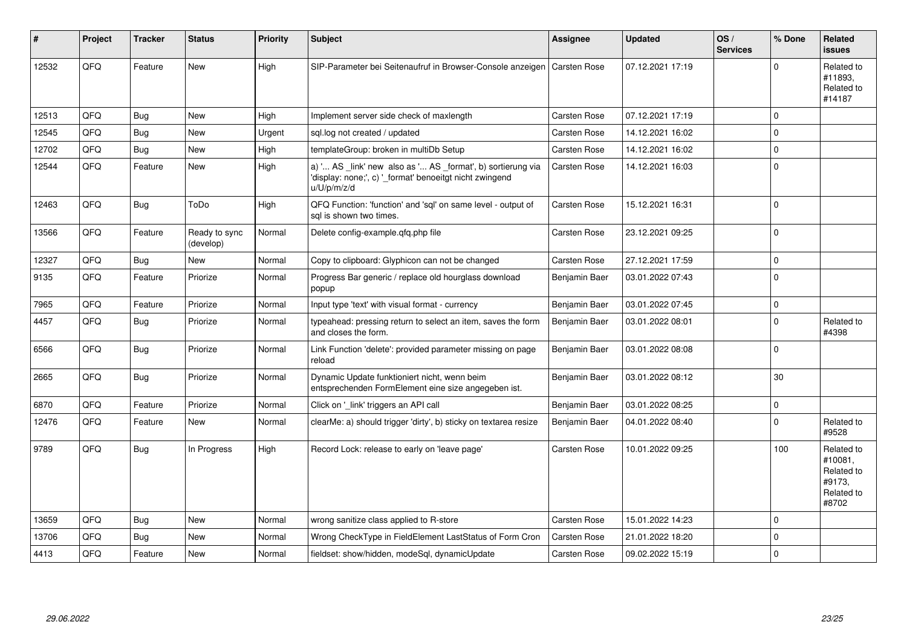| #     | Project | <b>Tracker</b> | <b>Status</b>              | <b>Priority</b> | <b>Subject</b>                                                                                                                        | Assignee            | <b>Updated</b>   | OS/<br><b>Services</b> | % Done       | Related<br><b>issues</b>                                             |
|-------|---------|----------------|----------------------------|-----------------|---------------------------------------------------------------------------------------------------------------------------------------|---------------------|------------------|------------------------|--------------|----------------------------------------------------------------------|
| 12532 | QFQ     | Feature        | <b>New</b>                 | High            | SIP-Parameter bei Seitenaufruf in Browser-Console anzeigen                                                                            | Carsten Rose        | 07.12.2021 17:19 |                        | $\Omega$     | Related to<br>#11893,<br>Related to<br>#14187                        |
| 12513 | QFQ     | Bug            | <b>New</b>                 | High            | Implement server side check of maxlength                                                                                              | <b>Carsten Rose</b> | 07.12.2021 17:19 |                        | $\mathbf 0$  |                                                                      |
| 12545 | QFQ     | Bug            | <b>New</b>                 | Urgent          | sql.log not created / updated                                                                                                         | <b>Carsten Rose</b> | 14.12.2021 16:02 |                        | $\mathbf 0$  |                                                                      |
| 12702 | QFQ     | <b>Bug</b>     | <b>New</b>                 | High            | templateGroup: broken in multiDb Setup                                                                                                | Carsten Rose        | 14.12.2021 16:02 |                        | $\Omega$     |                                                                      |
| 12544 | QFQ     | Feature        | New                        | High            | a) ' AS _link' new also as ' AS _format', b) sortierung via<br>'display: none;', c) '_format' benoeitgt nicht zwingend<br>u/U/p/m/z/d | Carsten Rose        | 14.12.2021 16:03 |                        | $\Omega$     |                                                                      |
| 12463 | QFQ     | Bug            | ToDo                       | High            | QFQ Function: 'function' and 'sql' on same level - output of<br>sal is shown two times.                                               | Carsten Rose        | 15.12.2021 16:31 |                        | $\Omega$     |                                                                      |
| 13566 | QFQ     | Feature        | Ready to sync<br>(develop) | Normal          | Delete config-example.gfg.php file                                                                                                    | <b>Carsten Rose</b> | 23.12.2021 09:25 |                        | $\Omega$     |                                                                      |
| 12327 | QFQ     | Bug            | <b>New</b>                 | Normal          | Copy to clipboard: Glyphicon can not be changed                                                                                       | Carsten Rose        | 27.12.2021 17:59 |                        | $\mathbf 0$  |                                                                      |
| 9135  | QFQ     | Feature        | Priorize                   | Normal          | Progress Bar generic / replace old hourglass download<br>popup                                                                        | Benjamin Baer       | 03.01.2022 07:43 |                        | $\Omega$     |                                                                      |
| 7965  | QFQ     | Feature        | Priorize                   | Normal          | Input type 'text' with visual format - currency                                                                                       | Benjamin Baer       | 03.01.2022 07:45 |                        | $\mathsf{O}$ |                                                                      |
| 4457  | QFQ     | Bug            | Priorize                   | Normal          | typeahead: pressing return to select an item, saves the form<br>and closes the form.                                                  | Benjamin Baer       | 03.01.2022 08:01 |                        | $\mathbf 0$  | Related to<br>#4398                                                  |
| 6566  | QFQ     | <b>Bug</b>     | Priorize                   | Normal          | Link Function 'delete': provided parameter missing on page<br>reload                                                                  | Benjamin Baer       | 03.01.2022 08:08 |                        | $\Omega$     |                                                                      |
| 2665  | QFQ     | <b>Bug</b>     | Priorize                   | Normal          | Dynamic Update funktioniert nicht, wenn beim<br>entsprechenden FormElement eine size angegeben ist.                                   | Benjamin Baer       | 03.01.2022 08:12 |                        | 30           |                                                                      |
| 6870  | QFQ     | Feature        | Priorize                   | Normal          | Click on '_link' triggers an API call                                                                                                 | Benjamin Baer       | 03.01.2022 08:25 |                        | $\mathbf 0$  |                                                                      |
| 12476 | QFQ     | Feature        | <b>New</b>                 | Normal          | clearMe: a) should trigger 'dirty', b) sticky on textarea resize                                                                      | Benjamin Baer       | 04.01.2022 08:40 |                        | $\Omega$     | Related to<br>#9528                                                  |
| 9789  | QFQ     | Bug            | In Progress                | High            | Record Lock: release to early on 'leave page'                                                                                         | <b>Carsten Rose</b> | 10.01.2022 09:25 |                        | 100          | Related to<br>#10081,<br>Related to<br>#9173,<br>Related to<br>#8702 |
| 13659 | QFQ     | Bug            | <b>New</b>                 | Normal          | wrong sanitize class applied to R-store                                                                                               | <b>Carsten Rose</b> | 15.01.2022 14:23 |                        | $\mathbf 0$  |                                                                      |
| 13706 | QFQ     | <b>Bug</b>     | <b>New</b>                 | Normal          | Wrong CheckType in FieldElement LastStatus of Form Cron                                                                               | <b>Carsten Rose</b> | 21.01.2022 18:20 |                        | $\mathbf 0$  |                                                                      |
| 4413  | QFQ     | Feature        | <b>New</b>                 | Normal          | fieldset: show/hidden, modeSql, dynamicUpdate                                                                                         | <b>Carsten Rose</b> | 09.02.2022 15:19 |                        | $\mathbf 0$  |                                                                      |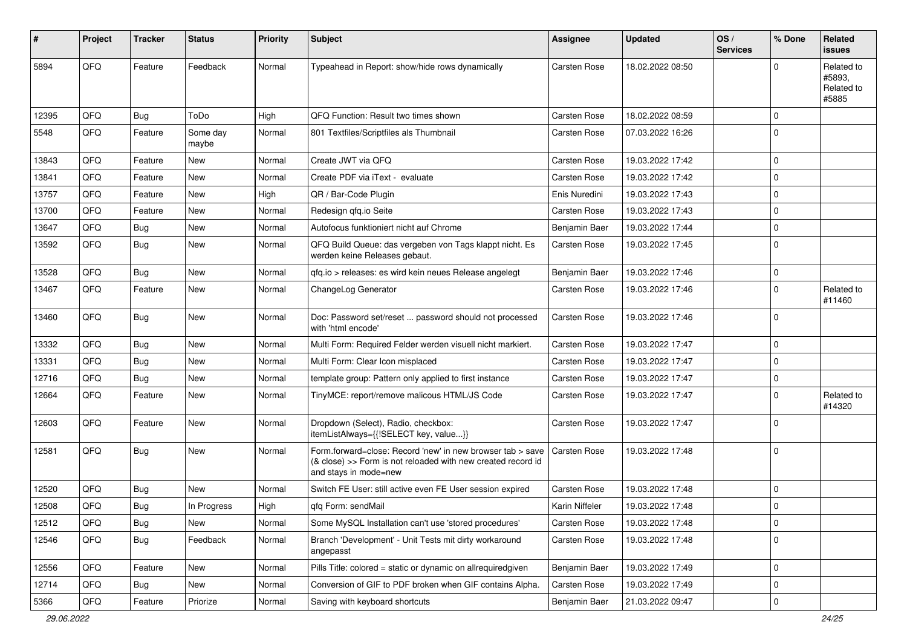| ∦     | Project | <b>Tracker</b> | <b>Status</b>     | <b>Priority</b> | <b>Subject</b>                                                                                                                                      | Assignee            | <b>Updated</b>   | OS/<br><b>Services</b> | % Done      | Related<br>issues                           |
|-------|---------|----------------|-------------------|-----------------|-----------------------------------------------------------------------------------------------------------------------------------------------------|---------------------|------------------|------------------------|-------------|---------------------------------------------|
| 5894  | QFQ     | Feature        | Feedback          | Normal          | Typeahead in Report: show/hide rows dynamically                                                                                                     | Carsten Rose        | 18.02.2022 08:50 |                        | $\Omega$    | Related to<br>#5893,<br>Related to<br>#5885 |
| 12395 | QFQ     | <b>Bug</b>     | ToDo              | High            | QFQ Function: Result two times shown                                                                                                                | <b>Carsten Rose</b> | 18.02.2022 08:59 |                        | $\mathbf 0$ |                                             |
| 5548  | QFQ     | Feature        | Some day<br>maybe | Normal          | 801 Textfiles/Scriptfiles als Thumbnail                                                                                                             | Carsten Rose        | 07.03.2022 16:26 |                        | 0           |                                             |
| 13843 | QFQ     | Feature        | New               | Normal          | Create JWT via QFQ                                                                                                                                  | <b>Carsten Rose</b> | 19.03.2022 17:42 |                        | $\mathbf 0$ |                                             |
| 13841 | QFQ     | Feature        | <b>New</b>        | Normal          | Create PDF via iText - evaluate                                                                                                                     | Carsten Rose        | 19.03.2022 17:42 |                        | $\mathbf 0$ |                                             |
| 13757 | QFQ     | Feature        | New               | High            | QR / Bar-Code Plugin                                                                                                                                | Enis Nuredini       | 19.03.2022 17:43 |                        | $\mathbf 0$ |                                             |
| 13700 | QFQ     | Feature        | New               | Normal          | Redesign qfq.io Seite                                                                                                                               | Carsten Rose        | 19.03.2022 17:43 |                        | $\mathbf 0$ |                                             |
| 13647 | QFQ     | Bug            | New               | Normal          | Autofocus funktioniert nicht auf Chrome                                                                                                             | Benjamin Baer       | 19.03.2022 17:44 |                        | $\mathbf 0$ |                                             |
| 13592 | QFQ     | Bug            | New               | Normal          | QFQ Build Queue: das vergeben von Tags klappt nicht. Es<br>werden keine Releases gebaut.                                                            | <b>Carsten Rose</b> | 19.03.2022 17:45 |                        | $\Omega$    |                                             |
| 13528 | QFQ     | <b>Bug</b>     | <b>New</b>        | Normal          | qfq.io > releases: es wird kein neues Release angelegt                                                                                              | Benjamin Baer       | 19.03.2022 17:46 |                        | $\mathbf 0$ |                                             |
| 13467 | QFQ     | Feature        | New               | Normal          | ChangeLog Generator                                                                                                                                 | <b>Carsten Rose</b> | 19.03.2022 17:46 |                        | 0           | Related to<br>#11460                        |
| 13460 | QFQ     | Bug            | New               | Normal          | Doc: Password set/reset  password should not processed<br>with 'html encode'                                                                        | <b>Carsten Rose</b> | 19.03.2022 17:46 |                        | $\Omega$    |                                             |
| 13332 | QFQ     | Bug            | New               | Normal          | Multi Form: Required Felder werden visuell nicht markiert.                                                                                          | Carsten Rose        | 19.03.2022 17:47 |                        | $\mathbf 0$ |                                             |
| 13331 | QFQ     | Bug            | <b>New</b>        | Normal          | Multi Form: Clear Icon misplaced                                                                                                                    | Carsten Rose        | 19.03.2022 17:47 |                        | $\mathbf 0$ |                                             |
| 12716 | QFQ     | Bug            | New               | Normal          | template group: Pattern only applied to first instance                                                                                              | Carsten Rose        | 19.03.2022 17:47 |                        | 0           |                                             |
| 12664 | QFQ     | Feature        | New               | Normal          | TinyMCE: report/remove malicous HTML/JS Code                                                                                                        | Carsten Rose        | 19.03.2022 17:47 |                        | $\mathbf 0$ | Related to<br>#14320                        |
| 12603 | QFQ     | Feature        | New               | Normal          | Dropdown (Select), Radio, checkbox:<br>itemListAlways={{!SELECT key, value}}                                                                        | Carsten Rose        | 19.03.2022 17:47 |                        | $\Omega$    |                                             |
| 12581 | QFQ     | Bug            | New               | Normal          | Form.forward=close: Record 'new' in new browser tab > save<br>(& close) >> Form is not reloaded with new created record id<br>and stays in mode=new | <b>Carsten Rose</b> | 19.03.2022 17:48 |                        | 0           |                                             |
| 12520 | QFQ     | Bug            | New               | Normal          | Switch FE User: still active even FE User session expired                                                                                           | Carsten Rose        | 19.03.2022 17:48 |                        | $\mathbf 0$ |                                             |
| 12508 | QFQ     | <b>Bug</b>     | In Progress       | High            | qfq Form: sendMail                                                                                                                                  | Karin Niffeler      | 19.03.2022 17:48 |                        | $\mathbf 0$ |                                             |
| 12512 | QFQ     | <b>Bug</b>     | New               | Normal          | Some MySQL Installation can't use 'stored procedures'                                                                                               | Carsten Rose        | 19.03.2022 17:48 |                        | 0           |                                             |
| 12546 | QFQ     | <b>Bug</b>     | Feedback          | Normal          | Branch 'Development' - Unit Tests mit dirty workaround<br>angepasst                                                                                 | Carsten Rose        | 19.03.2022 17:48 |                        | 0           |                                             |
| 12556 | QFQ     | Feature        | New               | Normal          | Pills Title: colored = static or dynamic on allrequiredgiven                                                                                        | Benjamin Baer       | 19.03.2022 17:49 |                        | 0           |                                             |
| 12714 | QFQ     | <b>Bug</b>     | New               | Normal          | Conversion of GIF to PDF broken when GIF contains Alpha.                                                                                            | Carsten Rose        | 19.03.2022 17:49 |                        | 0           |                                             |
| 5366  | QFQ     | Feature        | Priorize          | Normal          | Saving with keyboard shortcuts                                                                                                                      | Benjamin Baer       | 21.03.2022 09:47 |                        | 0           |                                             |